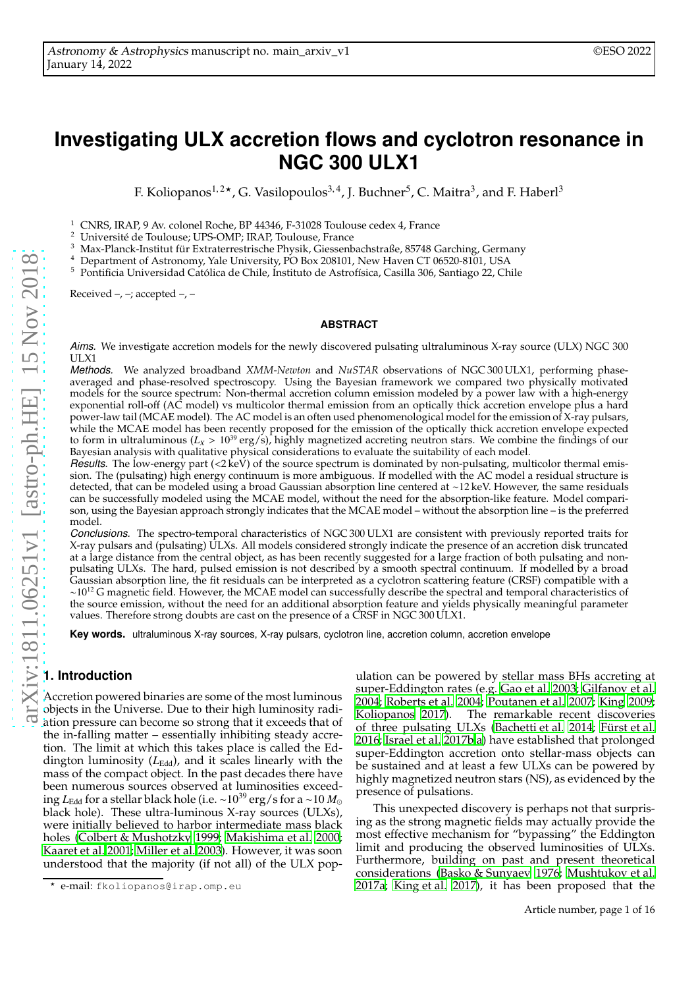# **Investigating ULX accretion flows and cyclotron resonance in NGC 300 ULX1**

F. Koliopanos<sup>1,2</sup>\*, G. Vasilopoulos<sup>3,4</sup>, J. Buchner<sup>5</sup>, C. Maitra<sup>3</sup>, and F. Haberl<sup>3</sup>

<sup>1</sup> CNRS, IRAP, 9 Av. colonel Roche, BP 44346, F-31028 Toulouse cedex 4, France  $\frac{2}{3}$  Université de Toulouse UPS OMP. IPAP Toulouse Urange

<sup>2</sup> Université de Toulouse; UPS-OMP; IRAP, Toulouse, France

<sup>3</sup> Max-Planck-Institut für Extraterrestrische Physik, Giessenbachstraße, 85748 Garching, Germany

<sup>4</sup> Department of Astronomy, Yale University, PO Box 208101, New Haven CT 06520-8101, USA

<sup>5</sup> Pontificia Universidad Católica de Chile, Instituto de Astrofísica, Casilla 306, Santiago 22, Chile

Received  $-$ ,  $-$ ; accepted  $-$ ,  $-$ 

#### **ABSTRACT**

*Aims.* We investigate accretion models for the newly discovered pulsating ultraluminous X-ray source (ULX) NGC 300 ULX1

*Methods.* We analyzed broadband *XMM-Newton* and *NuSTAR* observations of NGC 300 ULX1, performing phaseaveraged and phase-resolved spectroscopy. Using the Bayesian framework we compared two physically motivated models for the source spectrum: Non-thermal accretion column emission modeled by a power law with a high-energy exponential roll-off (AC model) vs multicolor thermal emission from an optically thick accretion envelope plus a hard power-law tail (MCAE model). The AC model is an often used phenomenological model for the emission of X-ray pulsars, while the MCAE model has been recently proposed for the emission of the optically thick accretion envelope expected to form in ultraluminous  $(L_X > 10^{39} \text{ erg/s})$ , highly magnetized accreting neutron stars. We combine the findings of our Bayesian analysis with qualitative physical considerations to evaluate the suitability of each model.

*Results.* The low-energy part (<2 keV) of the source spectrum is dominated by non-pulsating, multicolor thermal emission. The (pulsating) high energy continuum is more ambiguous. If modelled with the AC model a residual structure is detected, that can be modeled using a broad Gaussian absorption line centered at ∼12 keV. However, the same residuals can be successfully modeled using the MCAE model, without the need for the absorption-like feature. Model comparison, using the Bayesian approach strongly indicates that the MCAE model – without the absorption line – is the preferred model.

*Conclusions.* The spectro-temporal characteristics of NGC 300 ULX1 are consistent with previously reported traits for X-ray pulsars and (pulsating) ULXs. All models considered strongly indicate the presence of an accretion disk truncated at a large distance from the central object, as has been recently suggested for a large fraction of both pulsating and nonpulsating ULXs. The hard, pulsed emission is not described by a smooth spectral continuum. If modelled by a broad Gaussian absorption line, the fit residuals can be interpreted as a cyclotron scattering feature (CRSF) compatible with a  $\sim 10^{12}$  G magnetic field. However, the MCAE model can successfully describe the spectral and temporal characteristics of the source emission, without the need for an additional absorption feature and yields physically meaningful parameter values. Therefore strong doubts are cast on the presence of a CRSF in NGC 300 ULX1.

**Key words.** ultraluminous X-ray sources, X-ray pulsars, cyclotron line, accretion column, accretion envelope

## **1. Introduction**

Accretion powered binaries are some of the most luminous objects in the Universe. Due to their high luminosity radiation pressure can become so strong that it exceeds that of the in-falling matter – essentially inhibiting steady accretion. The limit at which this takes place is called the Eddington luminosity (L<sub>Edd</sub>), and it scales linearly with the mass of the compact object. In the past decades there have been numerous sources observed at luminosities exceeding *L*<sub>Edd</sub> for a stellar black hole (i.e. ~10<sup>39</sup> erg/s for a ~10 *M*<sub>⊙</sub> black hole). These ultra-luminous X-ray sources (ULXs), were initially believed to harbor intermediate mass black holes [\(Colbert & Mushotzky 1999;](#page-10-0) [Makishima et al. 2000;](#page-11-0) [Kaaret et al. 2001;](#page-11-1) [Miller et al. 2003\)](#page-11-2). However, it was soon understood that the majority (if not all) of the ULX pop-

ulation can be powered by stellar mass BHs accreting at super-Eddington rates (e.g. [Gao et al. 2003](#page-10-1); [Gilfanov et al.](#page-10-2) [2004;](#page-10-2) [Roberts et al. 2004;](#page-11-3) [Poutanen et al. 2007;](#page-11-4) [King 2009;](#page-11-5) [Koliopanos 2017\)](#page-11-6). The remarkable recent discoveries of three pulsating ULXs [\(Bachetti et al. 2014](#page-10-3); [Fürst et al.](#page-10-4) [2016;](#page-10-4) [Israel et al. 2017b](#page-10-5)[,a](#page-10-6)) have established that prolonged super-Eddington accretion onto stellar-mass objects can be sustained and at least a few ULXs can be powered by highly magnetized neutron stars (NS), as evidenced by the presence of pulsations.

This unexpected discovery is perhaps not that surprising as the strong magnetic fields may actually provide the most effective mechanism for "bypassing" the Eddington limit and producing the observed luminosities of ULXs. Furthermore, building on past and present theoretical considerations [\(Basko & Sunyaev 1976;](#page-10-7) [Mushtukov et al.](#page-11-7) [2017a;](#page-11-7) [King et al. 2017\)](#page-11-8), it has been proposed that the

<sup>⋆</sup> e-mail: fkoliopanos@irap.omp.eu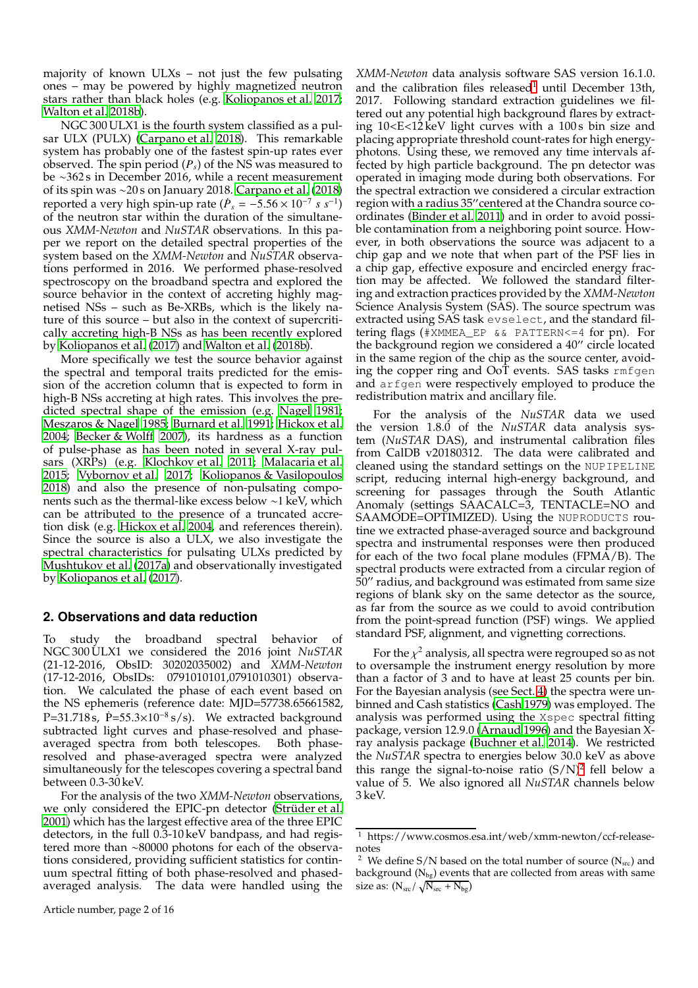majority of known ULXs – not just the few pulsating ones – may be powered by highly magnetized neutron stars rather than black holes (e.g. [Koliopanos et al. 2017;](#page-11-9) [Walton et al. 2018b\)](#page-11-10).

NGC 300 ULX1 is the fourth system classified as a pulsar ULX (PULX) [\(Carpano et al. 2018\)](#page-10-8). This remarkable system has probably one of the fastest spin-up rates ever observed. The spin period (*Ps*) of the NS was measured to be ∼362 s in December 2016, while a recent measurement of its spin was ∼20 s on January 2018. [Carpano et al.](#page-10-8) [\(2018\)](#page-10-8) reported a very high spin-up rate  $(P_s = -5.56 \times 10^{-7} s s^{-1})$ of the neutron star within the duration of the simultaneous *XMM-Newton* and *NuSTAR* observations. In this paper we report on the detailed spectral properties of the system based on the *XMM-Newton* and *NuSTAR* observations performed in 2016. We performed phase-resolved spectroscopy on the broadband spectra and explored the source behavior in the context of accreting highly magnetised NSs – such as Be-XRBs, which is the likely nature of this source – but also in the context of supercritically accreting high-B NSs as has been recently explored by [Koliopanos et al. \(2017\)](#page-11-9) and [Walton et al.](#page-11-10) [\(2018b\)](#page-11-10).

More specifically we test the source behavior against the spectral and temporal traits predicted for the emission of the accretion column that is expected to form in high-B NSs accreting at high rates. This involves the predicted spectral shape of the emission (e.g. [Nagel 1981;](#page-11-11) [Meszaros & Nagel 1985;](#page-11-12) [Burnard et al. 1991;](#page-10-9) [Hickox et al.](#page-10-10) [2004;](#page-10-10) [Becker & Wolff 2007\)](#page-10-11), its hardness as a function of pulse-phase as has been noted in several X-ray pulsars (XRPs) (e.g. [Klochkov et al. 2011;](#page-11-13) [Malacaria et al.](#page-11-14) [2015;](#page-11-14) [Vybornov et al. 2017;](#page-11-15) [Koliopanos & Vasilopoulos](#page-11-16) [2018\)](#page-11-16) and also the presence of non-pulsating components such as the thermal-like excess below ∼1 keV, which can be attributed to the presence of a truncated accretion disk (e.g. [Hickox et al. 2004,](#page-10-10) and references therein). Since the source is also a ULX, we also investigate the spectral characteristics for pulsating ULXs predicted by [Mushtukov et al. \(2017a\)](#page-11-7) and observationally investigated by [Koliopanos et al. \(2017\)](#page-11-9).

## **2. Observations and data reduction**

To study the broadband spectral behavior of NGC 300 ULX1 we considered the 2016 joint *NuSTAR* (21-12-2016, ObsID: 30202035002) and *XMM-Newton* (17-12-2016, ObsIDs: 0791010101,0791010301) observation. We calculated the phase of each event based on the NS ephemeris (reference date: MJD=57738.65661582,  $P=31.718$  s,  $\dot{P}=55.3\times10^{-8}$  s/s). We extracted background subtracted light curves and phase-resolved and phaseaveraged spectra from both telescopes. Both phaseresolved and phase-averaged spectra were analyzed simultaneously for the telescopes covering a spectral band between 0.3-30 keV.

For the analysis of the two *XMM-Newton* observations, we only considered the EPIC-pn detector [\(Strüder et al.](#page-11-17) [2001\)](#page-11-17) which has the largest effective area of the three EPIC detectors, in the full 0.3-10 keV bandpass, and had registered more than ∼80000 photons for each of the observations considered, providing sufficient statistics for continuum spectral fitting of both phase-resolved and phasedaveraged analysis. The data were handled using the *XMM-Newton* data analysis software SAS version 16.1.0. and the calibration files released<sup>[1](#page-1-0)</sup> until December 13th, 2017. Following standard extraction guidelines we filtered out any potential high background flares by extracting 10<E<12 keV light curves with a 100s bin size and placing appropriate threshold count-rates for high energyphotons. Using these, we removed any time intervals affected by high particle background. The pn detector was operated in imaging mode during both observations. For the spectral extraction we considered a circular extraction region with a radius 35′′centered at the Chandra source coordinates [\(Binder et al. 2011\)](#page-10-12) and in order to avoid possible contamination from a neighboring point source. However, in both observations the source was adjacent to a chip gap and we note that when part of the PSF lies in a chip gap, effective exposure and encircled energy fraction may be affected. We followed the standard filtering and extraction practices provided by the *XMM-Newton* Science Analysis System (SAS). The source spectrum was extracted using SAS task evselect, and the standard filtering flags (#XMMEA\_EP && PATTERN<=4 for pn). For the background region we considered a 40′′ circle located in the same region of the chip as the source center, avoiding the copper ring and OoT events. SAS tasks rmfgen and arfgen were respectively employed to produce the redistribution matrix and ancillary file.

For the analysis of the *NuSTAR* data we used the version 1.8.0 of the *NuSTAR* data analysis system (*NuSTAR* DAS), and instrumental calibration files from CalDB v20180312. The data were calibrated and cleaned using the standard settings on the NUPIPELINE script, reducing internal high-energy background, and screening for passages through the South Atlantic Anomaly (settings SAACALC=3, TENTACLE=NO and SAAMODE=OPTIMIZED). Using the NUPRODUCTS routine we extracted phase-averaged source and background spectra and instrumental responses were then produced for each of the two focal plane modules (FPMA/B). The spectral products were extracted from a circular region of 50′′ radius, and background was estimated from same size regions of blank sky on the same detector as the source, as far from the source as we could to avoid contribution from the point-spread function (PSF) wings. We applied standard PSF, alignment, and vignetting corrections.

For the  $\chi^2$  analysis, all spectra were regrouped so as not to oversample the instrument energy resolution by more than a factor of 3 and to have at least 25 counts per bin. For the Bayesian analysis (see Sect. [4\)](#page-5-0) the spectra were unbinned and Cash statistics [\(Cash 1979\)](#page-10-13) was employed. The analysis was performed using the Xspec spectral fitting package, version 12.9.0 [\(Arnaud 1996\)](#page-10-14) and the Bayesian Xray analysis package [\(Buchner et al. 2014\)](#page-10-15). We restricted the *NuSTAR* spectra to energies below 30.0 keV as above this range the signal-to-noise ratio  $(S/N)^2$  $(S/N)^2$  fell below a value of 5. We also ignored all *NuSTAR* channels below 3 keV.

<sup>1</sup> https://www.cosmos.esa.int/web/xmm-newton/ccf-releasenotes

<span id="page-1-1"></span><span id="page-1-0"></span> $^2\,$  We define S/N based on the total number of source (N $_{\rm src}$ ) and background  $(N_{bg})$  events that are collected from areas with same size as:  $(N_{\rm src}/\sqrt{N_{\rm src}+N_{\rm bg}})$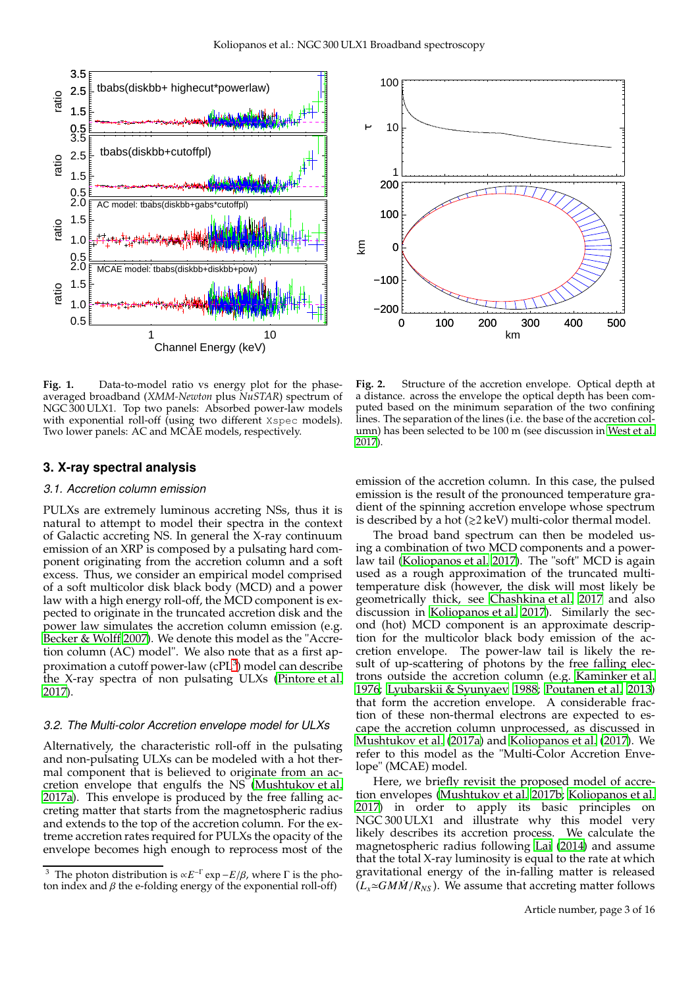

<span id="page-2-2"></span>**Fig. 1.** Data-to-model ratio vs energy plot for the phaseaveraged broadband (*XMM-Newton* plus *NuSTAR*) spectrum of NGC 300 ULX1. Top two panels: Absorbed power-law models with exponential roll-off (using two different Xspec models). Two lower panels: AC and MCAE models, respectively.

### <span id="page-2-3"></span>**3. X-ray spectral analysis**

#### *3.1. Accretion column emission*

PULXs are extremely luminous accreting NSs, thus it is natural to attempt to model their spectra in the context of Galactic accreting NS. In general the X-ray continuum emission of an XRP is composed by a pulsating hard component originating from the accretion column and a soft excess. Thus, we consider an empirical model comprised of a soft multicolor disk black body (MCD) and a power law with a high energy roll-off, the MCD component is expected to originate in the truncated accretion disk and the power law simulates the accretion column emission (e.g. [Becker & Wolff 2007\)](#page-10-11). We denote this model as the "Accretion column (AC) model". We also note that as a first approximation a cutoff power-law (cPL $^3$  $^3$ ) model can describe the X-ray spectra of non pulsating ULXs [\(Pintore et al.](#page-11-18) [2017\)](#page-11-18).

## <span id="page-2-4"></span>*3.2. The Multi-color Accretion envelope model for ULXs*

Alternatively, the characteristic roll-off in the pulsating and non-pulsating ULXs can be modeled with a hot thermal component that is believed to originate from an accretion envelope that engulfs the NS [\(Mushtukov et al.](#page-11-7) [2017a\)](#page-11-7). This envelope is produced by the free falling accreting matter that starts from the magnetospheric radius and extends to the top of the accretion column. For the extreme accretion rates required for PULXs the opacity of the envelope becomes high enough to reprocess most of the



<span id="page-2-1"></span>**Fig. 2.** Structure of the accretion envelope. Optical depth at a distance. across the envelope the optical depth has been computed based on the minimum separation of the two confining lines. The separation of the lines (i.e. the base of the accretion column) has been selected to be 100 m (see discussion in [West et al.](#page-11-19) [2017](#page-11-19)).

emission of the accretion column. In this case, the pulsed emission is the result of the pronounced temperature gradient of the spinning accretion envelope whose spectrum is described by a hot  $(\geq 2 \text{ keV})$  multi-color thermal model.

The broad band spectrum can then be modeled using a combination of two MCD components and a powerlaw tail [\(Koliopanos et al. 2017\)](#page-11-9). The "soft" MCD is again used as a rough approximation of the truncated multitemperature disk (however, the disk will most likely be geometrically thick, see [Chashkina et al. 2017](#page-10-16) and also discussion in [Koliopanos et al. 2017\)](#page-11-9). Similarly the second (hot) MCD component is an approximate description for the multicolor black body emission of the accretion envelope. The power-law tail is likely the result of up-scattering of photons by the free falling electrons outside the accretion column (e.g. [Kaminker et al.](#page-11-20) [1976;](#page-11-20) [Lyubarskii & Syunyaev 1988](#page-11-21); [Poutanen et al. 2013](#page-11-22)) that form the accretion envelope. A considerable fraction of these non-thermal electrons are expected to escape the accretion column unprocessed, as discussed in [Mushtukov et al. \(2017a](#page-11-7)) and [Koliopanos et al.](#page-11-9) [\(2017\)](#page-11-9). We refer to this model as the "Multi-Color Accretion Envelope" (MCAE) model.

Here, we briefly revisit the proposed model of accretion envelopes [\(Mushtukov et al. 2017b;](#page-11-23) [Koliopanos et al.](#page-11-9) [2017\)](#page-11-9) in order to apply its basic principles on NGC 300 ULX1 and illustrate why this model very likely describes its accretion process. We calculate the magnetospheric radius following [Lai](#page-11-24) [\(2014\)](#page-11-24) and assume that the total X-ray luminosity is equal to the rate at which gravitational energy of the in-falling matter is released  $(L_x \approx GM\dot{M}/R_{NS})$ . We assume that accreting matter follows

<span id="page-2-0"></span><sup>&</sup>lt;sup>3</sup> The photon distribution is  $\propto E^{-\Gamma} \exp{-E/\beta}$ , where  $\Gamma$  is the photon index and  $\beta$  the e-folding energy of the exponential roll-off)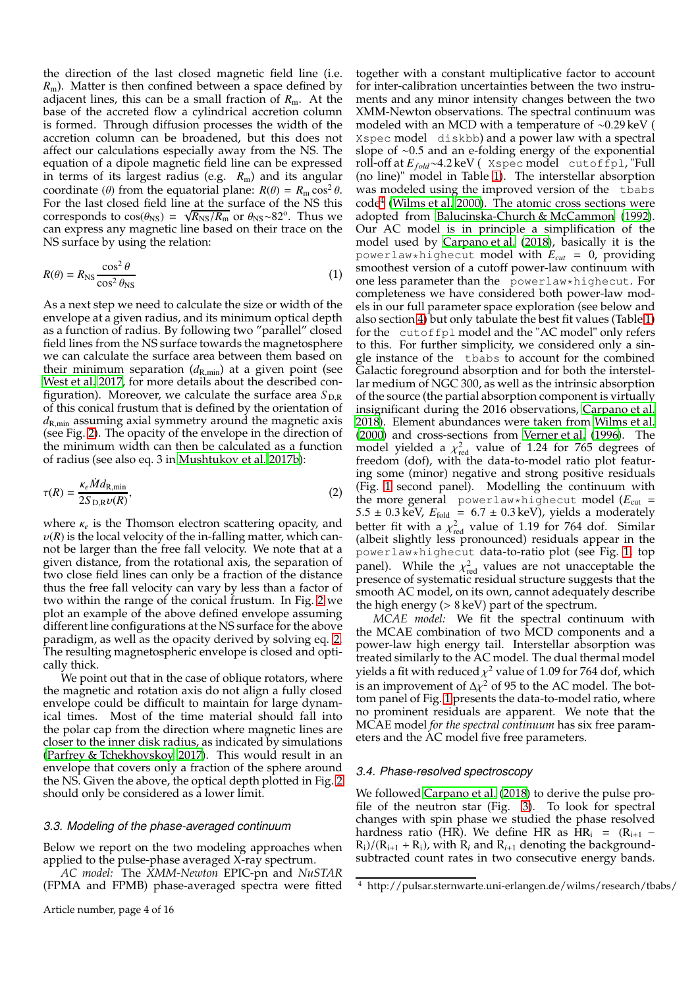the direction of the last closed magnetic field line (i.e. *R*m). Matter is then confined between a space defined by adjacent lines, this can be a small fraction of  $R<sub>m</sub>$ . At the base of the accreted flow a cylindrical accretion column is formed. Through diffusion processes the width of the accretion column can be broadened, but this does not affect our calculations especially away from the NS. The equation of a dipole magnetic field line can be expressed in terms of its largest radius (e.g. *R*m) and its angular coordinate ( $\theta$ ) from the equatorial plane:  $R(\theta) = R_{\text{m}} \cos^2 \theta$ . For the last closed field line at the surface of the NS this corresponds to  $cos(\theta_{\text{NS}}) = \sqrt{R_{\text{NS}}/R_{\text{m}}}$  or  $\theta_{\text{NS}} \sim 82^{\circ}$ . Thus we can express any magnetic line based on their trace on the NS surface by using the relation:

$$
R(\theta) = R_{\text{NS}} \frac{\cos^2 \theta}{\cos^2 \theta_{\text{NS}}}
$$
 (1)

As a next step we need to calculate the size or width of the envelope at a given radius, and its minimum optical depth as a function of radius. By following two "parallel" closed field lines from the NS surface towards the magnetosphere we can calculate the surface area between them based on their minimum separation  $(d_{\rm R,min})$  at a given point (see [West et al. 2017,](#page-11-19) for more details about the described configuration). Moreover, we calculate the surface area  $S_{D,R}$ of this conical frustum that is defined by the orientation of *d*R,min assuming axial symmetry around the magnetic axis (see Fig. [2\)](#page-2-1). The opacity of the envelope in the direction of the minimum width can then be calculated as a function of radius (see also eq. 3 in [Mushtukov et al. 2017b](#page-11-23)):

$$
\tau(R) = \frac{\kappa_e \dot{M} d_{\text{R,min}}}{2S_{\text{D,R}} \nu(R)},
$$
\n(2)

where  $\kappa_e$  is the Thomson electron scattering opacity, and  $v(R)$  is the local velocity of the in-falling matter, which cannot be larger than the free fall velocity. We note that at a given distance, from the rotational axis, the separation of two close field lines can only be a fraction of the distance thus the free fall velocity can vary by less than a factor of two within the range of the conical frustum. In Fig. [2](#page-2-1) we plot an example of the above defined envelope assuming different line configurations at the NS surface for the above paradigm, as well as the opacity derived by solving eq. [2.](#page-3-0) The resulting magnetospheric envelope is closed and optically thick.

We point out that in the case of oblique rotators, where the magnetic and rotation axis do not align a fully closed envelope could be difficult to maintain for large dynamical times. Most of the time material should fall into the polar cap from the direction where magnetic lines are closer to the inner disk radius, as indicated by simulations [\(Parfrey & Tchekhovskoy 2017](#page-11-25)). This would result in an envelope that covers only a fraction of the sphere around the NS. Given the above, the optical depth plotted in Fig. [2](#page-2-1) should only be considered as a lower limit.

#### *3.3. Modeling of the phase-averaged continuum*

Below we report on the two modeling approaches when applied to the pulse-phase averaged X-ray spectrum.

*AC model:* The *XMM-Newton* EPIC-pn and *NuSTAR* (FPMA and FPMB) phase-averaged spectra were fitted

together with a constant multiplicative factor to account for inter-calibration uncertainties between the two instruments and any minor intensity changes between the two XMM-Newton observations. The spectral continuum was modeled with an MCD with a temperature of ∼0.29 keV ( Xspec model diskbb) and a power law with a spectral slope of ∼0.5 and an e-folding energy of the exponential roll-off at *Ef old*∼4.2 keV ( Xspec model cutoffpl, "Full (no line)" model in Table [1\)](#page-5-1). The interstellar absorption was modeled using the improved version of the tbabs code[4](#page-3-1) [\(Wilms et al. 2000\)](#page-11-26). The atomic cross sections were adopted from [Balucinska-Church & McCammon](#page-10-17) [\(1992\)](#page-10-17). Our AC model is in principle a simplification of the model used by [Carpano et al. \(2018\)](#page-10-8), basically it is the powerlaw\*highecut model with  $E_{cut} = 0$ , providing smoothest version of a cutoff power-law continuum with one less parameter than the powerlaw\*highecut. For completeness we have considered both power-law models in our full parameter space exploration (see below and also section [4\)](#page-5-0) but only tabulate the best fit values (Table [1\)](#page-5-1) for the cutoffpl model and the "AC model" only refers to this. For further simplicity, we considered only a single instance of the tbabs to account for the combined Galactic foreground absorption and for both the interstellar medium of NGC 300, as well as the intrinsic absorption of the source (the partial absorption component is virtually insignificant during the 2016 observations, [Carpano et al.](#page-10-8) [2018\)](#page-10-8). Element abundances were taken from [Wilms et al.](#page-11-26) [\(2000\)](#page-11-26) and cross-sections from [Verner et al. \(1996\)](#page-11-27). The model yielded a  $\chi^2_{\text{red}}$  value of 1.24 for 765 degrees of freedom (dof), with the data-to-model ratio plot featuring some (minor) negative and strong positive residuals (Fig. [1](#page-2-2) second panel). Modelling the continuum with the more general powerlaw\*highecut model  $(E_{cut}$  = 5.5  $\pm$  0.3 keV,  $E_{\text{fold}} = 6.7 \pm 0.3 \,\text{keV}$ , yields a moderately better fit with a  $\chi^2_{\text{red}}$  value of 1.19 for 764 dof. Similar (albeit slightly less pronounced) residuals appear in the powerlaw\*highecut data-to-ratio plot (see Fig. [1,](#page-2-2) top panel). While the  $\chi^2_{\text{red}}$  values are not unacceptable the presence of systematic residual structure suggests that the smooth AC model, on its own, cannot adequately describe the high energy  $(> 8 \,\text{keV})$  part of the spectrum.

<span id="page-3-0"></span>*MCAE model:* We fit the spectral continuum with the MCAE combination of two MCD components and a power-law high energy tail. Interstellar absorption was treated similarly to the AC model. The dual thermal model yields a fit with reduced  $\chi^2$  value of 1.09 for 764 dof, which is an improvement of  $\Delta \chi^2$  of 95 to the AC model. The bottom panel of Fig. [1](#page-2-2) presents the data-to-model ratio, where no prominent residuals are apparent. We note that the MCAE model *for the spectral continuum* has six free parameters and the AC model five free parameters.

#### *3.4. Phase-resolved spectroscopy*

We followed [Carpano et al. \(2018\)](#page-10-8) to derive the pulse profile of the neutron star (Fig. [3\)](#page-4-0). To look for spectral changes with spin phase we studied the phase resolved hardness ratio (HR). We define HR as HR<sub>i</sub> =  $(R_{i+1}$  –  $R_i$ /( $R_{i+1}$  +  $R_i$ ), with  $R_i$  and  $R_{i+1}$  denoting the backgroundsubtracted count rates in two consecutive energy bands.

<span id="page-3-1"></span><sup>4</sup> http://pulsar.sternwarte.uni-erlangen.de/wilms/research/tbabs/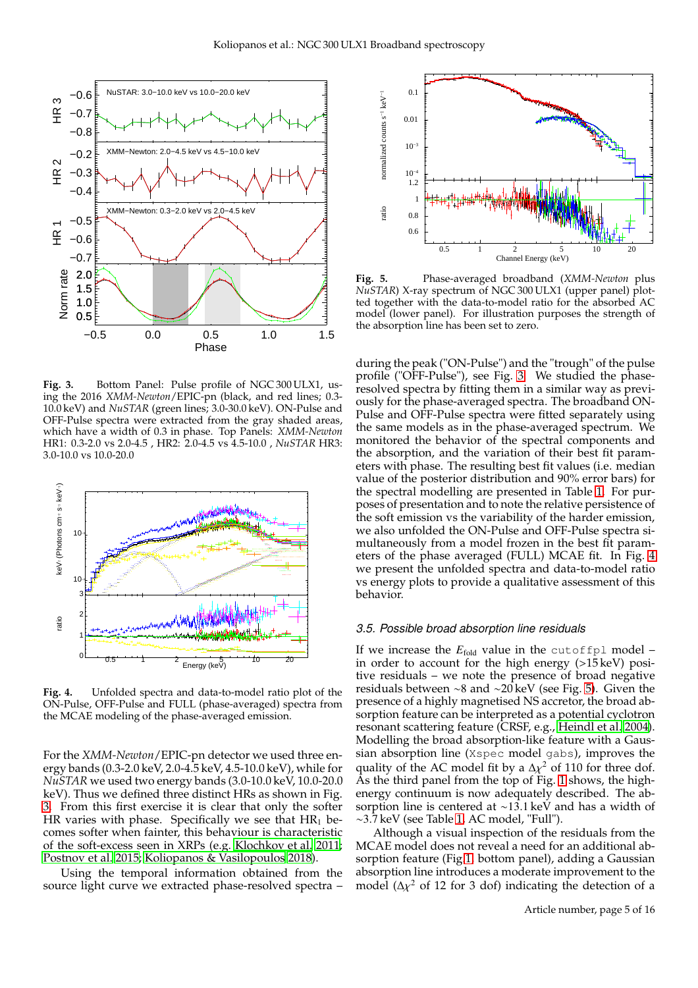

<span id="page-4-0"></span>**Fig. 3.** Bottom Panel: Pulse profile of NGC 300 ULX1, using the 2016 *XMM-Newton*/EPIC-pn (black, and red lines; 0.3- 10.0 keV) and *NuSTAR* (green lines; 3.0-30.0 keV). ON-Pulse and OFF-Pulse spectra were extracted from the gray shaded areas, which have a width of 0.3 in phase. Top Panels: *XMM-Newton* HR1: 0.3-2.0 vs 2.0-4.5 , HR2: 2.0-4.5 vs 4.5-10.0 , *NuSTAR* HR3: 3.0-10.0 vs 10.0-20.0



<span id="page-4-1"></span>**Fig. 4.** Unfolded spectra and data-to-model ratio plot of the ON-Pulse, OFF-Pulse and FULL (phase-averaged) spectra from the MCAE modeling of the phase-averaged emission.

For the *XMM-Newton*/EPIC-pn detector we used three energy bands (0.3-2.0 keV, 2.0-4.5 keV, 4.5-10.0 keV), while for *NuSTAR* we used two energy bands (3.0-10.0 keV, 10.0-20.0 keV). Thus we defined three distinct HRs as shown in Fig. [3.](#page-4-0) From this first exercise it is clear that only the softer HR varies with phase. Specifically we see that  $HR_1$  becomes softer when fainter, this behaviour is characteristic of the soft-excess seen in XRPs (e.g. [Klochkov et al. 2011;](#page-11-13) [Postnov et al. 2015;](#page-11-28) [Koliopanos & Vasilopoulos 2018\)](#page-11-16).

Using the temporal information obtained from the source light curve we extracted phase-resolved spectra –



<span id="page-4-2"></span>**Fig. 5.** Phase-averaged broadband (*XMM-Newton* plus *NuSTAR*) X-ray spectrum of NGC 300 ULX1 (upper panel) plotted together with the data-to-model ratio for the absorbed AC model (lower panel). For illustration purposes the strength of the absorption line has been set to zero.

during the peak ("ON-Pulse") and the "trough" of the pulse profile ("OFF-Pulse"), see Fig. [3.](#page-4-0) We studied the phaseresolved spectra by fitting them in a similar way as previously for the phase-averaged spectra. The broadband ON-Pulse and OFF-Pulse spectra were fitted separately using the same models as in the phase-averaged spectrum. We monitored the behavior of the spectral components and the absorption, and the variation of their best fit parameters with phase. The resulting best fit values (i.e. median value of the posterior distribution and 90% error bars) for the spectral modelling are presented in Table [1.](#page-5-1) For purposes of presentation and to note the relative persistence of the soft emission vs the variability of the harder emission, we also unfolded the ON-Pulse and OFF-Pulse spectra simultaneously from a model frozen in the best fit parameters of the phase averaged (FULL) MCAE fit. In Fig. [4](#page-4-1) we present the unfolded spectra and data-to-model ratio vs energy plots to provide a qualitative assessment of this behavior.

#### *3.5. Possible broad absorption line residuals*

If we increase the  $E_{fold}$  value in the cutoffpl model – in order to account for the high energy (>15 keV) positive residuals – we note the presence of broad negative residuals between ∼8 and ∼20 keV (see Fig. [5\)](#page-4-2). Given the presence of a highly magnetised NS accretor, the broad absorption feature can be interpreted as a potential cyclotron resonant scattering feature (CRSF, e.g., [Heindl et al. 2004\)](#page-10-18). Modelling the broad absorption-like feature with a Gaussian absorption line (Xspec model gabs), improves the quality of the AC model fit by a  $\Delta \chi^2$  of 110 for three dof. As the third panel from the top of Fig. [1](#page-2-2) shows, the highenergy continuum is now adequately described. The absorption line is centered at ∼13.1 keV and has a width of ∼3.7 keV (see Table [1,](#page-5-1) AC model, "Full").

Although a visual inspection of the residuals from the MCAE model does not reveal a need for an additional absorption feature (Fig[.1,](#page-2-2) bottom panel), adding a Gaussian absorption line introduces a moderate improvement to the model ( $\Delta \chi^2$  of 12 for 3 dof) indicating the detection of a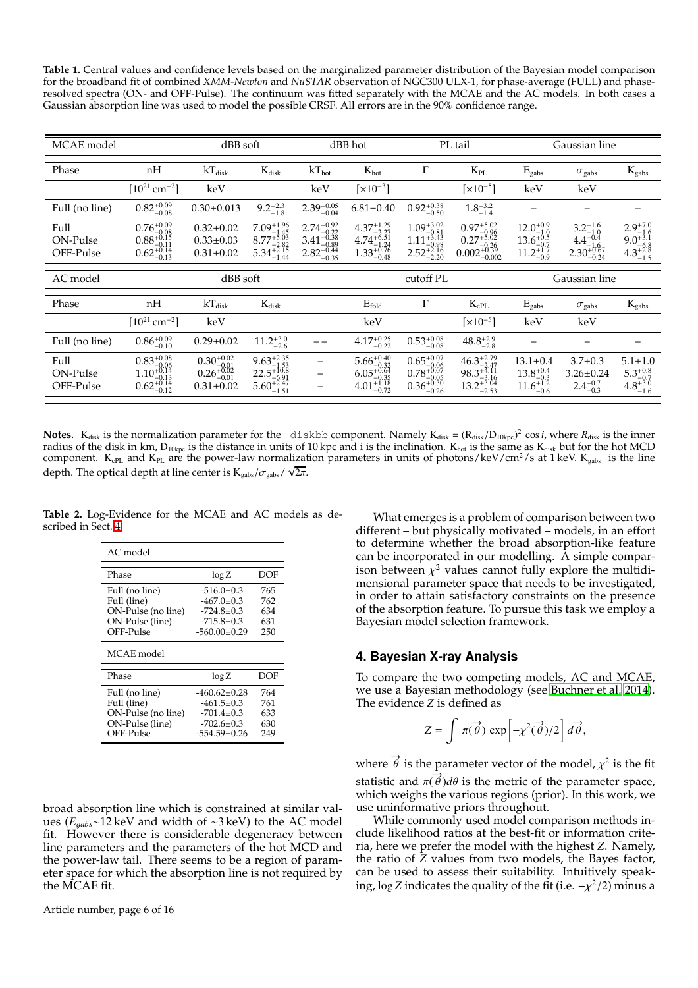<span id="page-5-1"></span>**Table 1.** Central values and confidence levels based on the marginalized parameter distribution of the Bayesian model comparison for the broadband fit of combined *XMM-Newton* and *NuSTAR* observation of NGC300 ULX-1, for phase-average (FULL) and phaseresolved spectra (ON- and OFF-Pulse). The continuum was fitted separately with the MCAE and the AC models. In both cases a Gaussian absorption line was used to model the possible CRSF. All errors are in the 90% confidence range.

| MCAE model                    |                                                                                     | dBB hot<br>dBB soft                                                                              |                                                                                                                |                                                                                    | PL tail                                                                                             |                                                                                                                | Gaussian line                                                                                     |                                                                                 |                                                                                      |                                                                   |
|-------------------------------|-------------------------------------------------------------------------------------|--------------------------------------------------------------------------------------------------|----------------------------------------------------------------------------------------------------------------|------------------------------------------------------------------------------------|-----------------------------------------------------------------------------------------------------|----------------------------------------------------------------------------------------------------------------|---------------------------------------------------------------------------------------------------|---------------------------------------------------------------------------------|--------------------------------------------------------------------------------------|-------------------------------------------------------------------|
| Phase                         | nH                                                                                  | $kT_{disk}$                                                                                      | $K_{disk}$                                                                                                     | $kT_{hot}$                                                                         | $K_{hot}$                                                                                           | Г                                                                                                              | $K_{PL}$                                                                                          | $E_{\text{gabs}}$                                                               | $\sigma_{\text{gabs}}$                                                               | $K_{\text{gabs}}$                                                 |
|                               | $[10^{21}$ cm <sup>-2</sup> ]                                                       | keV                                                                                              |                                                                                                                | keV                                                                                | $\left[\times 10^{-3}\right]$                                                                       |                                                                                                                | $\left[\times 10^{-5}\right]$                                                                     | keV                                                                             | keV                                                                                  |                                                                   |
| Full (no line)                | $0.82^{+0.09}_{-0.08}$                                                              | $0.30 \pm 0.013$                                                                                 | $9.2^{+2.3}_{-1.8}$                                                                                            | $2.39_{-0.04}^{+0.05}$                                                             | $6.81 \pm 0.40$                                                                                     | $0.92_{-0.50}^{+0.38}$                                                                                         | $1.8^{+3.2}_{-1.4}$                                                                               |                                                                                 |                                                                                      |                                                                   |
| Full<br>ON-Pulse<br>OFF-Pulse | $\substack{0.76^{+0.09}_{-0.08}}{0.88^{+0.15}_{-0.11}} \atop{0.62^{+0.14}_{-0.13}}$ | $0.32 \pm 0.02$<br>$0.33 \pm 0.03$<br>$0.31 \pm 0.02$                                            | $\begin{array}{r} \overline{7.09}^{+1.96}_{-1.45} \\ 8.77^{+5.03}_{-2.82} \\ 5.34^{+2.15}_{-1.44} \end{array}$ | $\substack{2.74_{-0.22}^{+0.92} \\ 3.41_{-0.89}^{+0.38} \\ 2.82_{-0.35}^{+0.44} }$ | $\substack{4.37_{-2.27}^{+1.29} \\ 4.74_{-1.24}^{+6.51} \\ 1.33_{-0.48}^{+0.76} }$                  | $\underset{ \begin{array}{c} 1.09_{-0.81}^{+3.02}\\ 1.11_{-0.98}^{+3.43}\\ 2.52_{-2.20}^{+2.16} \end{array} }$ | $\underset{0.002_{-0.026}^{+5.02}}{0.97_{-0.96}^{+5.02}} \underset{0.002_{-0.002}^{+0.39}}{0.02}$ | $\substack{12.0^{+0.9}_{-1.0} \\ 13.6^{+0.5}_{-0.7} \\ 11.2^{+1.7}_{-0.9}}$     | $\underset{-0.2}{3.2_{-1.6}^{+1.6}}\,\,4.4_{-1.6}^{+0.4}\,\,\\ 2.30_{-0.24}^{+0.67}$ | $2.9^{+7.0}_{-1.6}$<br>$9.0^{+3.1}_{-6.8}$<br>$4.3^{+2.8}_{-1.5}$ |
| AC model                      |                                                                                     | dBB soft                                                                                         |                                                                                                                |                                                                                    | cutoff PL                                                                                           |                                                                                                                |                                                                                                   | Gaussian line                                                                   |                                                                                      |                                                                   |
| Phase                         | nH                                                                                  | $kT_{disk}$                                                                                      | $K_{disk}$                                                                                                     |                                                                                    | $E_{fold}$                                                                                          | $\Gamma$                                                                                                       | $K_{cPL}$                                                                                         | $E_{\rm gabs}$                                                                  | $\sigma_{\rm gabs}$                                                                  | $K_{\text{gabs}}$                                                 |
|                               | $[10^{21}$ cm <sup>-2</sup> ]                                                       | keV                                                                                              |                                                                                                                |                                                                                    | keV                                                                                                 |                                                                                                                | $\left[\times 10^{-5}\right]$                                                                     | keV                                                                             | keV                                                                                  |                                                                   |
| Full (no line)                | $0.86^{+0.09}_{-0.10}$                                                              | $0.29 \pm 0.02$                                                                                  | $11.2^{+3.0}_{-2.6}$                                                                                           |                                                                                    | $4.17^{+0.25}_{-0.22}$                                                                              | $0.53^{+0.08}_{-0.08}$                                                                                         | $48.8^{+2.9}_{-2.8}$                                                                              |                                                                                 |                                                                                      |                                                                   |
| Full<br>ON-Pulse<br>OFF-Pulse | $\substack{0.83^{+0.08}_{-0.06} \\ 1.10^{+0.14}_{-0.13} \\ 0.62^{+0.14}_{-0.12}}$   | $\underset{0.26}{0.30_{-0.01}^{+0.02}}\underset{-0.01}{0.26_{-0.01}^{+0.02}}$<br>$0.31 \pm 0.02$ | $\substack{9.63_{-1.35}^{+2.35} \\ 22.5_{-6.91}^{+10.8} \\ 5.60_{-1.51}^{+2.47} }$                             | $\overline{\phantom{0}}$<br>-                                                      | $\begin{array}{r} 5.66^{+0.40}_{-0.32} \\ 6.05^{+0.64}_{-0.35} \\ 4.01^{+1.18}_{-0.72} \end{array}$ | $\substack{0.65^{+0.07}_{-0.06} \\ 0.78^{+0.07}_{-0.05} \\ 0.36^{+0.30}_{-0.26}}$                              | $\substack{46.3_{-2.47}^{+2.79}}{98.3_{-3.16}^{+4.11}}$ $\substack{13.2_{-2.53}^{+3.04}}$         | $13.1 \pm 0.4$<br>$\underset{-0.6}{13.8}_{-0.3}^{+0.4}$<br>$11.6_{-0.6}^{+1.2}$ | $3.7 \pm 0.3$<br>$3.26 \pm 0.24$<br>$2.4^{+0.7}_{-0.3}$                              | $5.1 \pm 1.0$<br>$5.3^{+0.8}_{-0.7}$<br>$4.8^{+3.0}_{-1.6}$       |

**Notes.** K<sub>disk</sub> is the normalization parameter for the diskbb component. Namely  $K_{disk} = (R_{disk}/D_{10kpc})^2 \cos i$ , where  $R_{disk}$  is the inner radius of the disk in km,  $D_{10\text{kpc}}$  is the distance in units of 10 kpc and i is the inclination.  $K_{\text{hot}}$  is the same as  $K_{\text{disk}}$  but for the hot MCD component.  $K_{cPL}$  and  $K_{PL}$  are the power-law normalization parameters in units of photons/keV/cm<sup>2</sup>/s at 1 keV.  $K_{\text{gabs}}$  is the line depth. The optical depth at line center is  $K_{\text{gabs}}/\sigma_{\text{gabs}}/\sqrt{2\pi}$ .

**Table 2.** Log-Evidence for the MCAE and AC models as described in Sect. [4.](#page-5-0)

<span id="page-5-2"></span>

| AC model                                                                            |                                                                                            |                                 |  |  |  |  |
|-------------------------------------------------------------------------------------|--------------------------------------------------------------------------------------------|---------------------------------|--|--|--|--|
| Phase                                                                               | $\log Z$                                                                                   | DOF                             |  |  |  |  |
| Full (no line)<br>Full (line)<br>ON-Pulse (no line)<br>ON-Pulse (line)<br>OFF-Pulse | $-516.0 \pm 0.3$<br>$-467.0 \pm 0.3$<br>$-724.8+0.3$<br>$-715.8+0.3$<br>$-560.00 \pm 0.29$ | 765<br>762<br>634<br>631<br>250 |  |  |  |  |
| MCAE model                                                                          |                                                                                            |                                 |  |  |  |  |
| Phase                                                                               | $\log Z$                                                                                   | DOF                             |  |  |  |  |
| Full (no line)<br>Full (line)<br>ON-Pulse (no line)                                 | $-460.62+0.28$<br>$-461.5+0.3$<br>$-701.4 \pm 0.3$                                         | 764<br>761<br>633               |  |  |  |  |

broad absorption line which is constrained at similar values (*E*g*abs*∼12 keV and width of ∼3 keV) to the AC model fit. However there is considerable degeneracy between line parameters and the parameters of the hot MCD and the power-law tail. There seems to be a region of parameter space for which the absorption line is not required by the MCAE fit.

What emerges is a problem of comparison between two different – but physically motivated – models, in an effort to determine whether the broad absorption-like feature can be incorporated in our modelling. A simple comparison between  $\chi^2$  values cannot fully explore the multidimensional parameter space that needs to be investigated, in order to attain satisfactory constraints on the presence of the absorption feature. To pursue this task we employ a Bayesian model selection framework.

## <span id="page-5-0"></span>**4. Bayesian X-ray Analysis**

To compare the two competing models, AC and MCAE, we use a Bayesian methodology (see [Buchner et al. 2014\)](#page-10-15). The evidence *Z* is defined as

$$
Z = \int \pi(\vec{\theta}) \exp\left[-\chi^2(\vec{\theta})/2\right] d\vec{\theta},
$$

where  $\overrightarrow{\theta}$  is the parameter vector of the model,  $\chi^2$  is the fit statistic and  $\pi(\vec{\theta})d\theta$  is the metric of the parameter space, which weighs the various regions (prior). In this work, we use uninformative priors throughout.

While commonly used model comparison methods include likelihood ratios at the best-fit or information criteria, here we prefer the model with the highest *Z*. Namely, the ratio of *Z* values from two models, the Bayes factor, can be used to assess their suitability. Intuitively speaking, log *Z* indicates the quality of the fit (i.e.  $-\chi^2/2$ ) minus a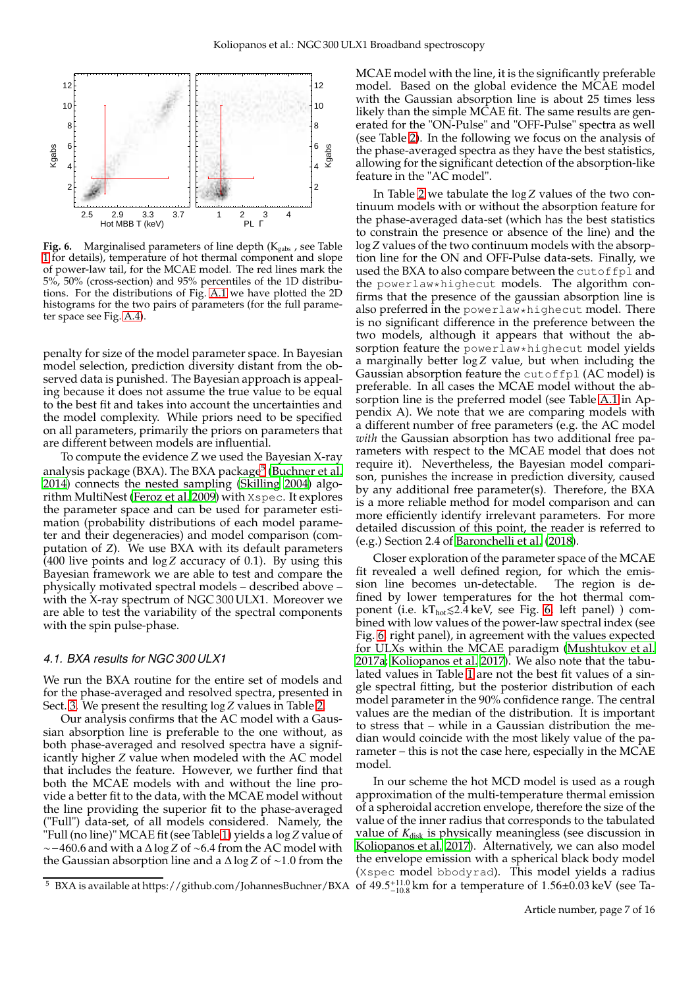

<span id="page-6-1"></span>**Fig. 6.** Marginalised parameters of line depth (K<sub>gabs</sub>, see Table [1](#page-5-1) for details), temperature of hot thermal component and slope of power-law tail, for the MCAE model. The red lines mark the 5%, 50% (cross-section) and 95% percentiles of the 1D distributions. For the distributions of Fig. [A.1](#page-12-0) we have plotted the 2D histograms for the two pairs of parameters (for the full parameter space see Fig. [A.4\)](#page-15-0).

penalty for size of the model parameter space. In Bayesian model selection, prediction diversity distant from the observed data is punished. The Bayesian approach is appealing because it does not assume the true value to be equal to the best fit and takes into account the uncertainties and the model complexity. While priors need to be specified on all parameters, primarily the priors on parameters that are different between models are influential.

To compute the evidence Z we used the Bayesian X-ray analysis package (BXA). The BXA package<sup>[5](#page-6-0)</sup> [\(Buchner et al.](#page-10-15) [2014\)](#page-10-15) connects the nested sampling [\(Skilling 2004\)](#page-11-29) algorithm MultiNest [\(Feroz et al. 2009\)](#page-10-19) with Xspec. It explores the parameter space and can be used for parameter estimation (probability distributions of each model parameter and their degeneracies) and model comparison (computation of *Z*). We use BXA with its default parameters (400 live points and log *Z* accuracy of 0.1). By using this Bayesian framework we are able to test and compare the physically motivated spectral models – described above – with the X-ray spectrum of NGC 300 ULX1. Moreover we are able to test the variability of the spectral components with the spin pulse-phase.

#### *4.1. BXA results for NGC 300 ULX1*

We run the BXA routine for the entire set of models and for the phase-averaged and resolved spectra, presented in Sect. [3.](#page-2-3) We present the resulting  $\log Z$  values in Table [2.](#page-5-2)

Our analysis confirms that the AC model with a Gaussian absorption line is preferable to the one without, as both phase-averaged and resolved spectra have a significantly higher *Z* value when modeled with the AC model that includes the feature. However, we further find that both the MCAE models with and without the line provide a better fit to the data, with the MCAE model without the line providing the superior fit to the phase-averaged ("Full") data-set, of all models considered. Namely, the "Full (no line)" MCAE fit (see Table [1\)](#page-5-1) yields a log *Z* value of ∼−460.<sup>6</sup> and with a <sup>∆</sup> log *<sup>Z</sup>* of <sup>∼</sup>6.<sup>4</sup> from the AC model with the Gaussian absorption line and a <sup>∆</sup> log *<sup>Z</sup>* of <sup>∼</sup>1.<sup>0</sup> from the

MCAE model with the line, it is the significantly preferable model. Based on the global evidence the MCAE model with the Gaussian absorption line is about 25 times less likely than the simple MCAE fit. The same results are generated for the "ON-Pulse" and "OFF-Pulse" spectra as well (see Table [2\)](#page-5-2). In the following we focus on the analysis of the phase-averaged spectra as they have the best statistics, allowing for the significant detection of the absorption-like feature in the "AC model".

In Table [2](#page-5-2) we tabulate the log *Z* values of the two continuum models with or without the absorption feature for the phase-averaged data-set (which has the best statistics to constrain the presence or absence of the line) and the log *Z* values of the two continuum models with the absorption line for the ON and OFF-Pulse data-sets. Finally, we used the BXA to also compare between the cutoffpl and the powerlaw\*highecut models. The algorithm confirms that the presence of the gaussian absorption line is also preferred in the powerlaw\*highecut model. There is no significant difference in the preference between the two models, although it appears that without the absorption feature the powerlaw\*highecut model yields a marginally better log *Z* value, but when including the Gaussian absorption feature the cutoffpl (AC model) is preferable. In all cases the MCAE model without the absorption line is the preferred model (see Table [A.1](#page-11-30) in Appendix A). We note that we are comparing models with a different number of free parameters (e.g. the AC model *with* the Gaussian absorption has two additional free parameters with respect to the MCAE model that does not require it). Nevertheless, the Bayesian model comparison, punishes the increase in prediction diversity, caused by any additional free parameter(s). Therefore, the BXA is a more reliable method for model comparison and can more efficiently identify irrelevant parameters. For more detailed discussion of this point, the reader is referred to (e.g.) Section 2.4 of [Baronchelli et al.](#page-10-20) [\(2018\)](#page-10-20).

Closer exploration of the parameter space of the MCAE fit revealed a well defined region, for which the emission line becomes un-detectable. fined by lower temperatures for the hot thermal component (i.e.  $kT_{hot} \leq 2.4 \text{ keV}$ , see Fig. [6,](#page-6-1) left panel) ) combined with low values of the power-law spectral index (see Fig. [6,](#page-6-1) right panel), in agreement with the values expected for ULXs within the MCAE paradigm [\(Mushtukov et al.](#page-11-7) [2017a;](#page-11-7) [Koliopanos et al. 2017\)](#page-11-9). We also note that the tabulated values in Table [1](#page-5-1) are not the best fit values of a single spectral fitting, but the posterior distribution of each model parameter in the 90% confidence range. The central values are the median of the distribution. It is important to stress that – while in a Gaussian distribution the median would coincide with the most likely value of the parameter – this is not the case here, especially in the MCAE model.

In our scheme the hot MCD model is used as a rough approximation of the multi-temperature thermal emission of a spheroidal accretion envelope, therefore the size of the value of the inner radius that corresponds to the tabulated value of *K*disk is physically meaningless (see discussion in [Koliopanos et al. 2017](#page-11-9)). Alternatively, we can also model the envelope emission with a spherical black body model (Xspec model bbodyrad). This model yields a radius  $^{+11.0}_{-10.8}$  km for a temperature of 1.56±0.03 keV (see Ta-

<span id="page-6-0"></span><sup>&</sup>lt;sup>5</sup> BXA is available at https://github.com/JohannesBuchner/BXA of  $49.5^{+11.0}_{-10.8}$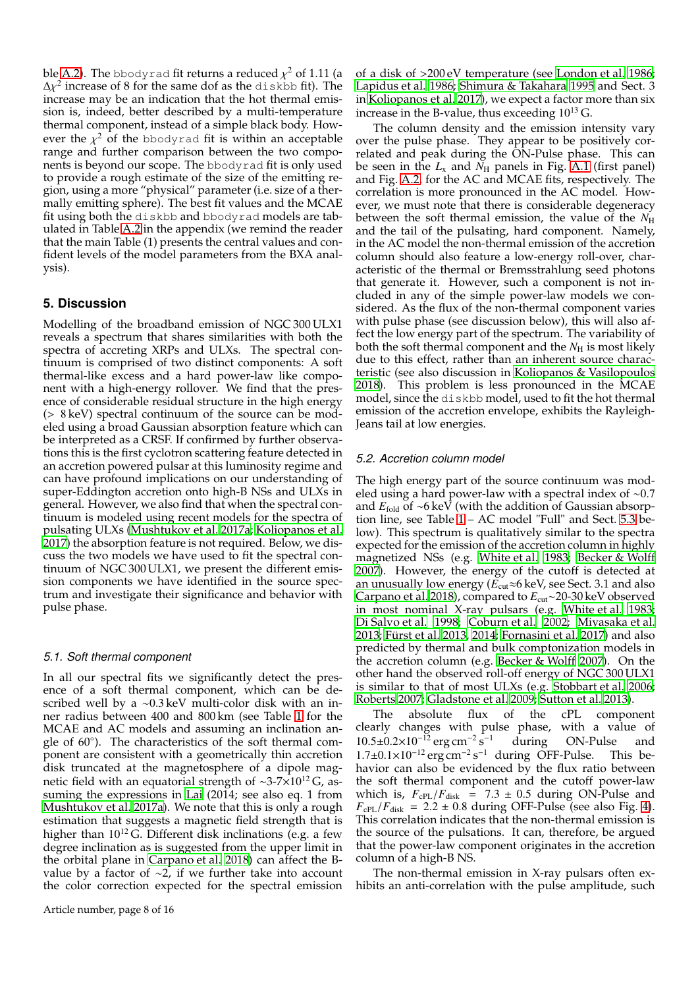ble [A.2\)](#page-12-1). The <code>bbodyrad</code> fit returns a reduced  $\chi^2$  of 1.11 (a  $\Delta \chi^2$  increase of 8 for the same dof as the diskbb fit). The increase may be an indication that the hot thermal emission is, indeed, better described by a multi-temperature thermal component, instead of a simple black body. However the  $\chi^2$  of the bbodyrad fit is within an acceptable range and further comparison between the two components is beyond our scope. The bbodyrad fit is only used to provide a rough estimate of the size of the emitting region, using a more "physical" parameter (i.e. size of a thermally emitting sphere). The best fit values and the MCAE fit using both the diskbb and bbodyrad models are tabulated in Table [A.2](#page-12-1) in the appendix (we remind the reader that the main Table (1) presents the central values and confident levels of the model parameters from the BXA analysis).

## **5. Discussion**

Modelling of the broadband emission of NGC 300 ULX1 reveals a spectrum that shares similarities with both the spectra of accreting XRPs and ULXs. The spectral continuum is comprised of two distinct components: A soft thermal-like excess and a hard power-law like component with a high-energy rollover. We find that the presence of considerable residual structure in the high energy (> 8 keV) spectral continuum of the source can be modeled using a broad Gaussian absorption feature which can be interpreted as a CRSF. If confirmed by further observations this is the first cyclotron scattering feature detected in an accretion powered pulsar at this luminosity regime and can have profound implications on our understanding of super-Eddington accretion onto high-B NSs and ULXs in general. However, we also find that when the spectral continuum is modeled using recent models for the spectra of pulsating ULXs [\(Mushtukov et al. 2017a;](#page-11-7) [Koliopanos et al.](#page-11-9) [2017\)](#page-11-9) the absorption feature is not required. Below, we discuss the two models we have used to fit the spectral continuum of NGC 300 ULX1, we present the different emission components we have identified in the source spectrum and investigate their significance and behavior with pulse phase.

#### *5.1. Soft thermal component*

In all our spectral fits we significantly detect the presence of a soft thermal component, which can be described well by a ∼0.3 keV multi-color disk with an inner radius between 400 and 800 km (see Table [1](#page-5-1) for the MCAE and AC models and assuming an inclination angle of 60◦ ). The characteristics of the soft thermal component are consistent with a geometrically thin accretion disk truncated at the magnetosphere of a dipole magnetic field with an equatorial strength of ~3-7×10<sup>12</sup> G, assuming the expressions in [Lai](#page-11-24) (2014; see also eq. 1 from [Mushtukov et al. 2017a](#page-11-7)). We note that this is only a rough estimation that suggests a magnetic field strength that is higher than  $10^{12}$  G. Different disk inclinations (e.g. a few degree inclination as is suggested from the upper limit in the orbital plane in [Carpano et al. 2018](#page-10-8)) can affect the Bvalue by a factor of ∼2, if we further take into account the color correction expected for the spectral emission of a disk of >200 eV temperature (see [London et al. 1986;](#page-11-31) [Lapidus et al. 1986;](#page-11-32) [Shimura & Takahara 1995](#page-11-33) and Sect. 3 in [Koliopanos et al. 2017](#page-11-9)), we expect a factor more than six increase in the B-value, thus exceeding  $10^{13}$  G.

The column density and the emission intensity vary over the pulse phase. They appear to be positively correlated and peak during the ON-Pulse phase. This can be seen in the  $L_x$  and  $N_H$  panels in Fig. [A.1](#page-12-0) (first panel) and Fig. [A.2,](#page-13-0) for the AC and MCAE fits, respectively. The correlation is more pronounced in the AC model. However, we must note that there is considerable degeneracy between the soft thermal emission, the value of the  $N_{\rm H}$ and the tail of the pulsating, hard component. Namely, in the AC model the non-thermal emission of the accretion column should also feature a low-energy roll-over, characteristic of the thermal or Bremsstrahlung seed photons that generate it. However, such a component is not included in any of the simple power-law models we considered. As the flux of the non-thermal component varies with pulse phase (see discussion below), this will also affect the low energy part of the spectrum. The variability of both the soft thermal component and the  $N_{\rm H}$  is most likely due to this effect, rather than an inherent source characteristic (see also discussion in [Koliopanos & Vasilopoulos](#page-11-16) [2018\)](#page-11-16). This problem is less pronounced in the MCAE model, since the diskbb model, used to fit the hot thermal emission of the accretion envelope, exhibits the Rayleigh-Jeans tail at low energies.

#### *5.2. Accretion column model*

The high energy part of the source continuum was modeled using a hard power-law with a spectral index of ∼0.7 and *E*fold of ∼6 keV (with the addition of Gaussian absorption line, see Table [1](#page-5-1) – AC model "Full" and Sect. [5.3](#page-8-0) below). This spectrum is qualitatively similar to the spectra expected for the emission of the accretion column in highly magnetized NSs (e.g. [White et al. 1983](#page-11-34); [Becker & Wolff](#page-10-11) [2007\)](#page-10-11). However, the energy of the cutoff is detected at an unusually low energy ( $\widetilde{E}_{\text{cut}} \approx 6$  keV, see Sect. 3.1 and also [Carpano et al. 2018\)](#page-10-8), compared to *E*cut∼20-30 keV observed in most nominal X-ray pulsars (e.g. [White et al. 1983;](#page-11-34) [Di Salvo et al. 1998;](#page-10-21) [Coburn et al. 2002;](#page-10-22) [Miyasaka et al.](#page-11-35) [2013;](#page-11-35) [Fürst et al. 2013,](#page-10-23) [2014;](#page-10-24) [Fornasini et al. 2017\)](#page-10-25) and also predicted by thermal and bulk comptonization models in the accretion column (e.g. Becker  $&$  Wolff 2007). On the other hand the observed roll-off energy of NGC 300 ULX1 is similar to that of most ULXs (e.g. [Stobbart et al. 2006;](#page-11-36) [Roberts 2007;](#page-11-37) [Gladstone et al. 2009;](#page-10-26) [Sutton et al. 2013](#page-11-38)).

The absolute flux of the cPL component clearly changes with pulse phase, with a value of  $10.5\pm0.2\times10^{-12}$  erg cm<sup>-2</sup> s during ON-Pulse and  $1.7\pm0.1\times10^{-12}$  erg cm<sup>-2</sup> s<sup>-1</sup> during OFF-Pulse. This behavior can also be evidenced by the flux ratio between the soft thermal component and the cutoff power-law which is,  $F_{\text{cPL}}/F_{\text{disk}}$  = 7.3  $\pm$  0.5 during ON-Pulse and  $F_{\text{cPL}}/F_{\text{disk}} = 2.2 \pm 0.8$  during OFF-Pulse (see also Fig. [4\)](#page-4-1). This correlation indicates that the non-thermal emission is the source of the pulsations. It can, therefore, be argued that the power-law component originates in the accretion column of a high-B NS.

The non-thermal emission in X-ray pulsars often exhibits an anti-correlation with the pulse amplitude, such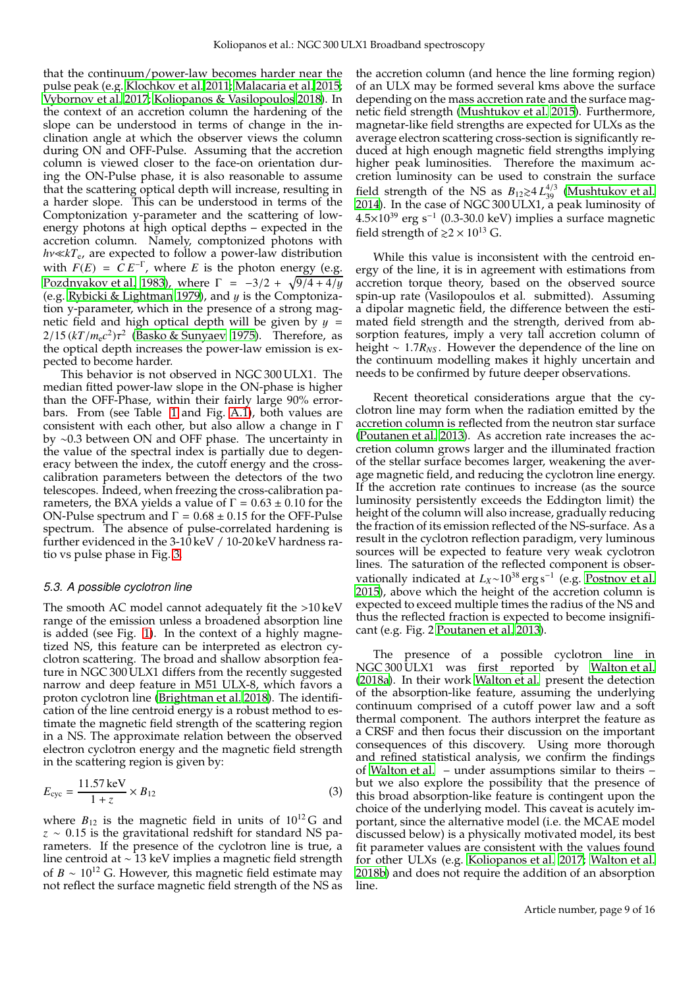that the continuum/power-law becomes harder near the pulse peak (e.g. [Klochkov et al. 2011;](#page-11-13) [Malacaria et al. 2015;](#page-11-14) [Vybornov et al. 2017](#page-11-15); [Koliopanos & Vasilopoulos 2018\)](#page-11-16). In the context of an accretion column the hardening of the slope can be understood in terms of change in the inclination angle at which the observer views the column during ON and OFF-Pulse. Assuming that the accretion column is viewed closer to the face-on orientation during the ON-Pulse phase, it is also reasonable to assume that the scattering optical depth will increase, resulting in a harder slope. This can be understood in terms of the Comptonization y-parameter and the scattering of lowenergy photons at high optical depths – expected in the accretion column. Namely, comptonized photons with *h*ν≪*kT*e, are expected to follow a power-law distribution with  $F(E) = C E^{-\Gamma}$ , where *E* is the photon energy (e.g. [Pozdnyakov et al. 1983\)](#page-11-39), where  $\Gamma = -3/2 + \sqrt{9/4 + 4/y}$ (e.g. [Rybicki & Lightman 1979\)](#page-11-40), and  $y$  is the Comptonization y-parameter, which in the presence of a strong magnetic field and high optical depth will be given by  $y =$  $2/15 (kT/m_e c^2) \tau^2$  [\(Basko & Sunyaev 1975\)](#page-10-27). Therefore, as the optical depth increases the power-law emission is expected to become harder.

This behavior is not observed in NGC 300 ULX1. The median fitted power-law slope in the ON-phase is higher than the OFF-Phase, within their fairly large 90% errorbars. From (see Table [1](#page-5-1) and Fig. [A.1\)](#page-12-0), both values are consistent with each other, but also allow a change in Γ by ∼0.3 between ON and OFF phase. The uncertainty in the value of the spectral index is partially due to degeneracy between the index, the cutoff energy and the crosscalibration parameters between the detectors of the two telescopes. Indeed, when freezing the cross-calibration parameters, the BXA yields a value of  $\Gamma = 0.63 \pm 0.10$  for the ON-Pulse spectrum and  $\Gamma = 0.68 \pm 0.15$  for the OFF-Pulse spectrum. The absence of pulse-correlated hardening is further evidenced in the 3-10 keV / 10-20 keV hardness ratio vs pulse phase in Fig. [3.](#page-4-0)

#### <span id="page-8-0"></span>*5.3. A possible cyclotron line*

The smooth AC model cannot adequately fit the >10 keV range of the emission unless a broadened absorption line is added (see Fig. [1\)](#page-2-2). In the context of a highly magnetized NS, this feature can be interpreted as electron cyclotron scattering. The broad and shallow absorption feature in NGC 300 ULX1 differs from the recently suggested narrow and deep feature in M51 ULX-8, which favors a proton cyclotron line [\(Brightman et al. 2018](#page-10-28)). The identification of the line centroid energy is a robust method to estimate the magnetic field strength of the scattering region in a NS. The approximate relation between the observed electron cyclotron energy and the magnetic field strength in the scattering region is given by:

$$
E_{\rm cyc} = \frac{11.57 \,\text{keV}}{1+z} \times B_{12} \tag{3}
$$

where  $B_{12}$  is the magnetic field in units of  $10^{12}$ G and *z* ∼ 0.15 is the gravitational redshift for standard NS parameters. If the presence of the cyclotron line is true, a line centroid at ∼ 13 keV implies a magnetic field strength of *B* ∼ 10<sup>12</sup> G. However, this magnetic field estimate may not reflect the surface magnetic field strength of the NS as the accretion column (and hence the line forming region) of an ULX may be formed several kms above the surface depending on the mass accretion rate and the surface magnetic field strength [\(Mushtukov et al. 2015\)](#page-11-41). Furthermore, magnetar-like field strengths are expected for ULXs as the average electron scattering cross-section is significantly reduced at high enough magnetic field strengths implying higher peak luminosities. Therefore the maximum accretion luminosity can be used to constrain the surface field strength of the NS as  $B_{12} \gtrsim 4 L_{39}^{4/3}$  [\(Mushtukov et al.](#page-11-42) [2014\)](#page-11-42). In the case of NGC 300 ULX1, a peak luminosity of  $4.5\times10^{39}$  erg s<sup>-1</sup> (0.3-30.0 keV) implies a surface magnetic field strength of  $\gtrsim 2 \times 10^{13}$  G.

While this value is inconsistent with the centroid energy of the line, it is in agreement with estimations from accretion torque theory, based on the observed source spin-up rate (Vasilopoulos et al. submitted). Assuming a dipolar magnetic field, the difference between the estimated field strength and the strength, derived from absorption features, imply a very tall accretion column of height ∼ 1.7*RNS* . However the dependence of the line on the continuum modelling makes it highly uncertain and needs to be confirmed by future deeper observations.

Recent theoretical considerations argue that the cyclotron line may form when the radiation emitted by the accretion column is reflected from the neutron star surface [\(Poutanen et al. 2013\)](#page-11-22). As accretion rate increases the accretion column grows larger and the illuminated fraction of the stellar surface becomes larger, weakening the average magnetic field, and reducing the cyclotron line energy. If the accretion rate continues to increase (as the source luminosity persistently exceeds the Eddington limit) the height of the column will also increase, gradually reducing the fraction of its emission reflected of the NS-surface. As a result in the cyclotron reflection paradigm, very luminous sources will be expected to feature very weak cyclotron lines. The saturation of the reflected component is observationally indicated at *L*<sub>*X*</sub>∼10<sup>38</sup> erg s<sup>-1</sup> (e.g. [Postnov et al.](#page-11-28) [2015\)](#page-11-28), above which the height of the accretion column is expected to exceed multiple times the radius of the NS and thus the reflected fraction is expected to become insignificant (e.g. Fig. 2 [Poutanen et al. 2013](#page-11-22)).

The presence of a possible cyclotron line in NGC 300 ULX1 was first reported by [Walton et al.](#page-11-43) [\(2018a\)](#page-11-43). In their work [Walton et al.](#page-11-43) present the detection of the absorption-like feature, assuming the underlying continuum comprised of a cutoff power law and a soft thermal component. The authors interpret the feature as a CRSF and then focus their discussion on the important consequences of this discovery. Using more thorough and refined statistical analysis, we confirm the findings of [Walton et al.](#page-11-43) – under assumptions similar to theirs – but we also explore the possibility that the presence of this broad absorption-like feature is contingent upon the choice of the underlying model. This caveat is acutely important, since the alternative model (i.e. the MCAE model discussed below) is a physically motivated model, its best fit parameter values are consistent with the values found for other ULXs (e.g. [Koliopanos et al. 2017](#page-11-9); [Walton et al.](#page-11-10) [2018b\)](#page-11-10) and does not require the addition of an absorption line.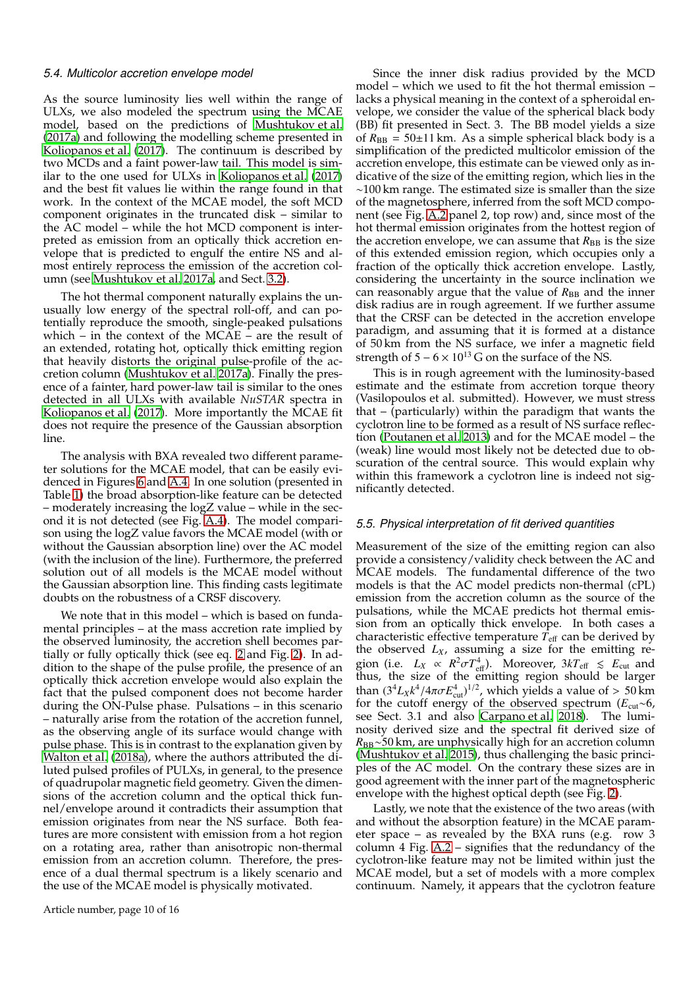## *5.4. Multicolor accretion envelope model*

As the source luminosity lies well within the range of ULXs, we also modeled the spectrum using the MCAE model, based on the predictions of [Mushtukov et al.](#page-11-7) [\(2017a](#page-11-7)) and following the modelling scheme presented in [Koliopanos et al.](#page-11-9) [\(2017\)](#page-11-9). The continuum is described by two MCDs and a faint power-law tail. This model is similar to the one used for ULXs in [Koliopanos et al.](#page-11-9) [\(2017\)](#page-11-9) and the best fit values lie within the range found in that work. In the context of the MCAE model, the soft MCD component originates in the truncated disk – similar to the AC model – while the hot MCD component is interpreted as emission from an optically thick accretion envelope that is predicted to engulf the entire NS and almost entirely reprocess the emission of the accretion column (see [Mushtukov et al. 2017a,](#page-11-7) and Sect. [3.2\)](#page-2-4).

The hot thermal component naturally explains the unusually low energy of the spectral roll-off, and can potentially reproduce the smooth, single-peaked pulsations which – in the context of the MCAE – are the result of an extended, rotating hot, optically thick emitting region that heavily distorts the original pulse-profile of the accretion column [\(Mushtukov et al. 2017a\)](#page-11-7). Finally the presence of a fainter, hard power-law tail is similar to the ones detected in all ULXs with available *NuSTAR* spectra in [Koliopanos et al. \(2017\)](#page-11-9). More importantly the MCAE fit does not require the presence of the Gaussian absorption line.

The analysis with BXA revealed two different parameter solutions for the MCAE model, that can be easily evidenced in Figures [6](#page-6-1) and [A.4.](#page-15-0) In one solution (presented in Table [1\)](#page-5-1) the broad absorption-like feature can be detected – moderately increasing the logZ value – while in the second it is not detected (see Fig. [A.4\)](#page-15-0). The model comparison using the logZ value favors the MCAE model (with or without the Gaussian absorption line) over the AC model (with the inclusion of the line). Furthermore, the preferred solution out of all models is the MCAE model without the Gaussian absorption line. This finding casts legitimate doubts on the robustness of a CRSF discovery.

We note that in this model – which is based on fundamental principles – at the mass accretion rate implied by the observed luminosity, the accretion shell becomes partially or fully optically thick (see eq. [2](#page-3-0) and Fig. [2\)](#page-2-1). In addition to the shape of the pulse profile, the presence of an optically thick accretion envelope would also explain the fact that the pulsed component does not become harder during the ON-Pulse phase. Pulsations – in this scenario – naturally arise from the rotation of the accretion funnel, as the observing angle of its surface would change with pulse phase. This is in contrast to the explanation given by [Walton et al. \(2018a\)](#page-11-43), where the authors attributed the diluted pulsed profiles of PULXs, in general, to the presence of quadrupolar magnetic field geometry. Given the dimensions of the accretion column and the optical thick funnel/envelope around it contradicts their assumption that emission originates from near the NS surface. Both features are more consistent with emission from a hot region on a rotating area, rather than anisotropic non-thermal emission from an accretion column. Therefore, the presence of a dual thermal spectrum is a likely scenario and the use of the MCAE model is physically motivated.

Since the inner disk radius provided by the MCD model – which we used to fit the hot thermal emission – lacks a physical meaning in the context of a spheroidal envelope, we consider the value of the spherical black body (BB) fit presented in Sect. 3. The BB model yields a size of  $R_{\text{BB}} = 50 \pm 11 \text{ km}$ . As a simple spherical black body is a simplification of the predicted multicolor emission of the accretion envelope, this estimate can be viewed only as indicative of the size of the emitting region, which lies in the ∼100 km range. The estimated size is smaller than the size of the magnetosphere, inferred from the soft MCD component (see Fig. [A.2](#page-13-0) panel 2, top row) and, since most of the hot thermal emission originates from the hottest region of the accretion envelope, we can assume that  $R_{BB}$  is the size of this extended emission region, which occupies only a fraction of the optically thick accretion envelope. Lastly, considering the uncertainty in the source inclination we can reasonably argue that the value of  $R_{\text{BB}}$  and the inner disk radius are in rough agreement. If we further assume that the CRSF can be detected in the accretion envelope paradigm, and assuming that it is formed at a distance of 50 km from the NS surface, we infer a magnetic field strength of  $5 - 6 \times 10^{13}$  G on the surface of the NS.

This is in rough agreement with the luminosity-based estimate and the estimate from accretion torque theory (Vasilopoulos et al. submitted). However, we must stress that – (particularly) within the paradigm that wants the cyclotron line to be formed as a result of NS surface reflection [\(Poutanen et al. 2013\)](#page-11-22) and for the MCAE model – the (weak) line would most likely not be detected due to obscuration of the central source. This would explain why within this framework a cyclotron line is indeed not significantly detected.

#### *5.5. Physical interpretation of fit derived quantities*

Measurement of the size of the emitting region can also provide a consistency/validity check between the AC and MCAE models. The fundamental difference of the two models is that the AC model predicts non-thermal (cPL) emission from the accretion column as the source of the pulsations, while the MCAE predicts hot thermal emission from an optically thick envelope. In both cases a characteristic effective temperature  $\overline{T}_{\text{eff}}$  can be derived by the observed  $L_X$ , assuming a size for the emitting region (i.e.  $L_X \propto R^2 \sigma T_{\text{eff}}^4$ ). Moreover,  $3kT_{\text{eff}} \lesssim E_{\text{cut}}$  and thus, the size of the emitting region should be larger than  $(3^4L_X k^4 / 4\pi \sigma E_{\text{cut}}^4)^{1/2}$ , which yields a value of  $> 50$  km for the cutoff energy of the observed spectrum (*E*cut∼6, see Sect. 3.1 and also [Carpano et al. 2018](#page-10-8)). The luminosity derived size and the spectral fit derived size of *R*BB∼50 km, are unphysically high for an accretion column [\(Mushtukov et al. 2015\)](#page-11-41), thus challenging the basic principles of the AC model. On the contrary these sizes are in good agreement with the inner part of the magnetospheric envelope with the highest optical depth (see Fig. [2\)](#page-2-1).

Lastly, we note that the existence of the two areas (with and without the absorption feature) in the MCAE parameter space – as revealed by the BXA runs (e.g. row 3 column 4 Fig. [A.2](#page-13-0) – signifies that the redundancy of the cyclotron-like feature may not be limited within just the MCAE model, but a set of models with a more complex continuum. Namely, it appears that the cyclotron feature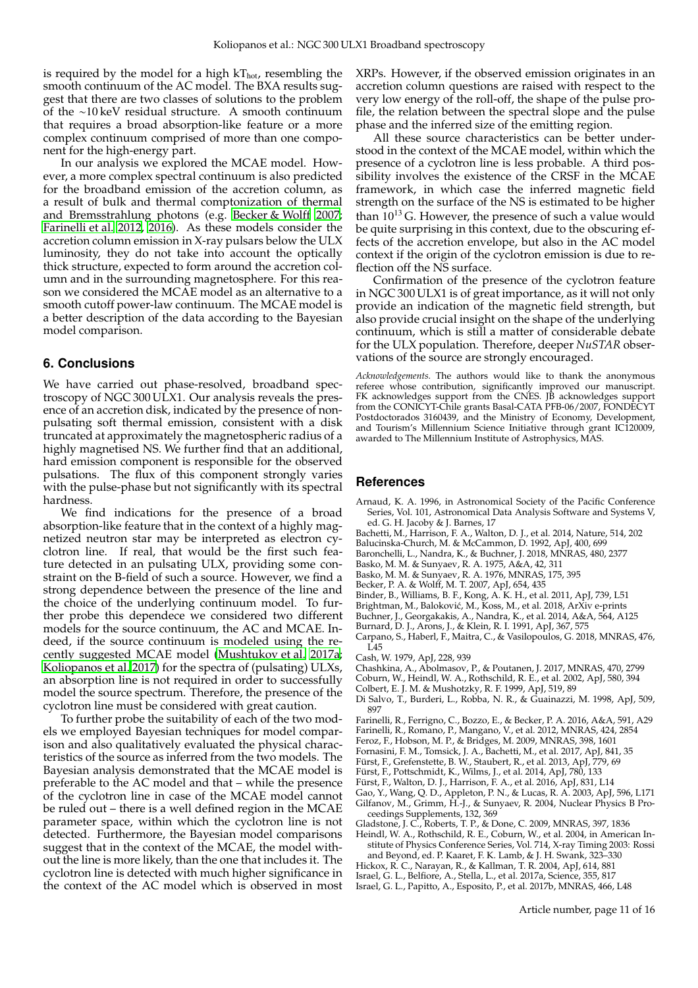is required by the model for a high  $kT_{hot}$ , resembling the smooth continuum of the AC model. The BXA results suggest that there are two classes of solutions to the problem of the ∼10 keV residual structure. A smooth continuum that requires a broad absorption-like feature or a more complex continuum comprised of more than one component for the high-energy part.

In our analysis we explored the MCAE model. However, a more complex spectral continuum is also predicted for the broadband emission of the accretion column, as a result of bulk and thermal comptonization of thermal and Bremsstrahlung photons (e.g. [Becker & Wolff 2007;](#page-10-11) [Farinelli et al. 2012,](#page-10-29) [2016\)](#page-10-30). As these models consider the accretion column emission in X-ray pulsars below the ULX luminosity, they do not take into account the optically thick structure, expected to form around the accretion column and in the surrounding magnetosphere. For this reason we considered the MCAE model as an alternative to a smooth cutoff power-law continuum. The MCAE model is a better description of the data according to the Bayesian model comparison.

## **6. Conclusions**

We have carried out phase-resolved, broadband spectroscopy of NGC 300 ULX1. Our analysis reveals the presence of an accretion disk, indicated by the presence of nonpulsating soft thermal emission, consistent with a disk truncated at approximately the magnetospheric radius of a highly magnetised NS. We further find that an additional, hard emission component is responsible for the observed pulsations. The flux of this component strongly varies with the pulse-phase but not significantly with its spectral hardness.

We find indications for the presence of a broad absorption-like feature that in the context of a highly magnetized neutron star may be interpreted as electron cyclotron line. If real, that would be the first such feature detected in an pulsating ULX, providing some constraint on the B-field of such a source. However, we find a strong dependence between the presence of the line and the choice of the underlying continuum model. To further probe this dependece we considered two different models for the source continuum, the AC and MCAE. Indeed, if the source continuum is modeled using the recently suggested MCAE model [\(Mushtukov et al. 2017a;](#page-11-7) [Koliopanos et al. 2017\)](#page-11-9) for the spectra of (pulsating) ULXs, an absorption line is not required in order to successfully model the source spectrum. Therefore, the presence of the cyclotron line must be considered with great caution.

To further probe the suitability of each of the two models we employed Bayesian techniques for model comparison and also qualitatively evaluated the physical characteristics of the source as inferred from the two models. The Bayesian analysis demonstrated that the MCAE model is preferable to the AC model and that – while the presence of the cyclotron line in case of the MCAE model cannot be ruled out – there is a well defined region in the MCAE parameter space, within which the cyclotron line is not detected. Furthermore, the Bayesian model comparisons suggest that in the context of the MCAE, the model without the line is more likely, than the one that includes it. The cyclotron line is detected with much higher significance in the context of the AC model which is observed in most XRPs. However, if the observed emission originates in an accretion column questions are raised with respect to the very low energy of the roll-off, the shape of the pulse profile, the relation between the spectral slope and the pulse phase and the inferred size of the emitting region.

All these source characteristics can be better understood in the context of the MCAE model, within which the presence of a cyclotron line is less probable. A third possibility involves the existence of the CRSF in the MCAE framework, in which case the inferred magnetic field strength on the surface of the NS is estimated to be higher than  $10^{13}$  G. However, the presence of such a value would be quite surprising in this context, due to the obscuring effects of the accretion envelope, but also in the AC model context if the origin of the cyclotron emission is due to reflection off the NS surface.

Confirmation of the presence of the cyclotron feature in NGC 300 ULX1 is of great importance, as it will not only provide an indication of the magnetic field strength, but also provide crucial insight on the shape of the underlying continuum, which is still a matter of considerable debate for the ULX population. Therefore, deeper *NuSTAR* observations of the source are strongly encouraged.

*Acknowledgements.* The authors would like to thank the anonymous referee whose contribution, significantly improved our manuscript. FK acknowledges support from the CNES. JB acknowledges support from the CONICYT-Chile grants Basal-CATA PFB-06/2007, FONDECYT Postdoctorados 3160439, and the Ministry of Economy, Development, and Tourism's Millennium Science Initiative through grant IC120009, awarded to The Millennium Institute of Astrophysics, MAS.

#### **References**

- <span id="page-10-14"></span>Arnaud, K. A. 1996, in Astronomical Society of the Pacific Conference Series, Vol. 101, Astronomical Data Analysis Software and Systems V, ed. G. H. Jacoby & J. Barnes, 17
- <span id="page-10-3"></span>Bachetti, M., Harrison, F. A., Walton, D. J., et al. 2014, Nature, 514, 202
- <span id="page-10-17"></span>Balucinska-Church, M. & McCammon, D. 1992, ApJ, 400, 699
- <span id="page-10-20"></span>Baronchelli, L., Nandra, K., & Buchner, J. 2018, MNRAS, 480, 2377
- <span id="page-10-27"></span>Basko, M. M. & Sunyaev, R. A. 1975, A&A, 42, 311
- <span id="page-10-7"></span>Basko, M. M. & Sunyaev, R. A. 1976, MNRAS, 175, 395
- <span id="page-10-11"></span>Becker, P. A. & Wolff, M. T. 2007, ApJ, 654, 435
- Binder, B., Williams, B. F., Kong, A. K. H., et al. 2011, ApJ, 739, L51
- <span id="page-10-12"></span>
- <span id="page-10-28"></span>Brightman, M., Baloković, M., Koss, M., et al. 2018, ArXiv e-prints
- <span id="page-10-15"></span>Buchner, J., Georgakakis, A., Nandra, K., et al. 2014, A&A, 564, A125
- <span id="page-10-9"></span>Burnard, D. J., Arons, J., & Klein, R. I. 1991, ApJ, 367, 575
- <span id="page-10-8"></span>Carpano, S., Haberl, F., Maitra, C., & Vasilopoulos, G. 2018, MNRAS, 476,  $\overline{145}$
- <span id="page-10-13"></span>Cash, W. 1979, ApJ, 228, 939
- <span id="page-10-16"></span>Chashkina, A., Abolmasov, P., & Poutanen, J. 2017, MNRAS, 470, 2799
- <span id="page-10-22"></span>Coburn, W., Heindl, W. A., Rothschild, R. E., et al. 2002, ApJ, 580, 394
- <span id="page-10-0"></span>Colbert, E. J. M. & Mushotzky, R. F. 1999, ApJ, 519, 89
- <span id="page-10-21"></span>Di Salvo, T., Burderi, L., Robba, N. R., & Guainazzi, M. 1998, ApJ, 509, 897
- <span id="page-10-30"></span>Farinelli, R., Ferrigno, C., Bozzo, E., & Becker, P. A. 2016, A&A, 591, A29
- <span id="page-10-29"></span>Farinelli, R., Romano, P., Mangano, V., et al. 2012, MNRAS, 424, 2854
- <span id="page-10-19"></span>Feroz, F., Hobson, M. P., & Bridges, M. 2009, MNRAS, 398, 1601
- <span id="page-10-25"></span>Fornasini, F. M., Tomsick, J. A., Bachetti, M., et al. 2017, ApJ, 841, 35
- <span id="page-10-23"></span>Fürst, F., Grefenstette, B. W., Staubert, R., et al. 2013, ApJ, 779, 69
- <span id="page-10-24"></span>Fürst, F., Pottschmidt, K., Wilms, J., et al. 2014, ApJ, 780, 133
- <span id="page-10-4"></span>Fürst, F., Walton, D. J., Harrison, F. A., et al. 2016, ApJ, 831, L14
- <span id="page-10-2"></span><span id="page-10-1"></span>Gao, Y., Wang, Q. D., Appleton, P. N., & Lucas, R. A. 2003, ApJ, 596, L171 Gilfanov, M., Grimm, H.-J., & Sunyaev, R. 2004, Nuclear Physics B Proceedings Supplements, 132, 369
- <span id="page-10-26"></span>Gladstone, J. C., Roberts, T. P., & Done, C. 2009, MNRAS, 397, 1836
- <span id="page-10-18"></span>Heindl, W. A., Rothschild, R. E., Coburn, W., et al. 2004, in American Institute of Physics Conference Series, Vol. 714, X-ray Timing 2003: Rossi
- and Beyond, ed. P. Kaaret, F. K. Lamb, & J. H. Swank, 323–330
- <span id="page-10-10"></span>Hickox, R. C., Narayan, R., & Kallman, T. R. 2004, ApJ, 614, 881
- <span id="page-10-6"></span>Israel, G. L., Belfiore, A., Stella, L., et al. 2017a, Science, 355, 817
- <span id="page-10-5"></span>Israel, G. L., Papitto, A., Esposito, P., et al. 2017b, MNRAS, 466, L48

Article number, page 11 of 16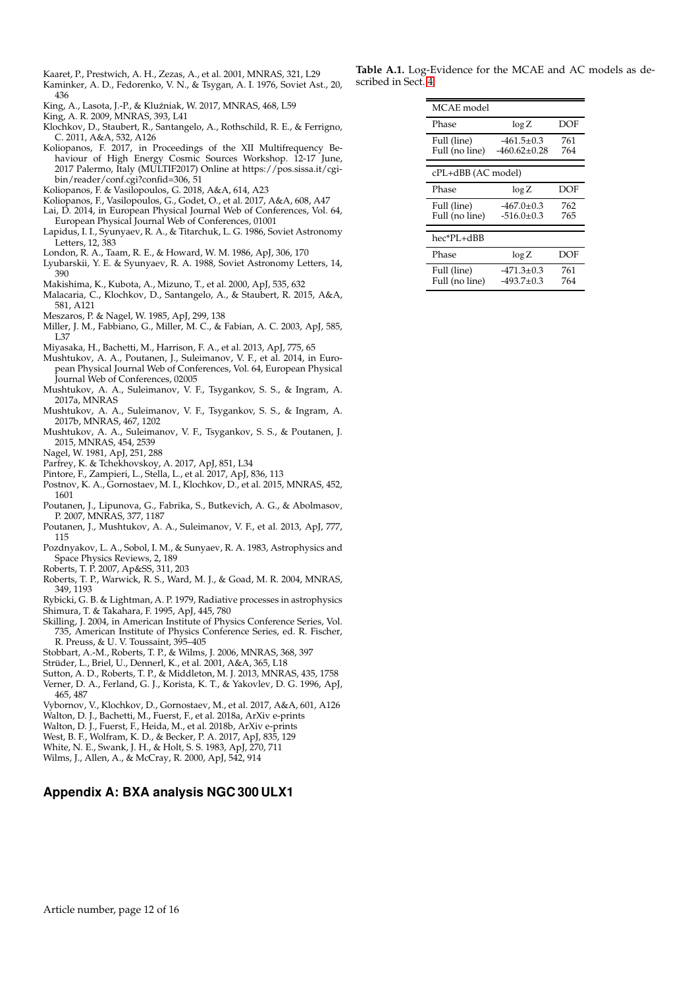<span id="page-11-1"></span>Kaaret, P., Prestwich, A. H., Zezas, A., et al. 2001, MNRAS, 321, L29

- <span id="page-11-20"></span>Kaminker, A. D., Fedorenko, V. N., & Tsygan, A. I. 1976, Soviet Ast., 20, 436
- <span id="page-11-8"></span>King, A., Lasota, J.-P., & Kluźniak, W. 2017, MNRAS, 468, L59
- <span id="page-11-5"></span>King, A. R. 2009, MNRAS, 393, L41
- <span id="page-11-13"></span>Klochkov, D., Staubert, R., Santangelo, A., Rothschild, R. E., & Ferrigno, C. 2011, A&A, 532, A126
- <span id="page-11-6"></span>Koliopanos, F. 2017, in Proceedings of the XII Multifrequency Behaviour of High Energy Cosmic Sources Workshop. 12-17 June, 2017 Palermo, Italy (MULTIF2017) Online at https://pos.sissa.it/cgibin/reader/conf.cgi?confid=306, 51
- <span id="page-11-16"></span>Koliopanos, F. & Vasilopoulos, G. 2018, A&A, 614, A23
- <span id="page-11-9"></span>Koliopanos, F., Vasilopoulos, G., Godet, O., et al. 2017, A&A, 608, A47
- <span id="page-11-24"></span>Lai, D. 2014, in European Physical Journal Web of Conferences, Vol. 64, European Physical Journal Web of Conferences, 01001
- <span id="page-11-32"></span>Lapidus, I. I., Syunyaev, R. A., & Titarchuk, L. G. 1986, Soviet Astronomy Letters, 12, 383
- <span id="page-11-31"></span>London, R. A., Taam, R. E., & Howard, W. M. 1986, ApJ, 306, 170
- <span id="page-11-21"></span>Lyubarskii, Y. E. & Syunyaev, R. A. 1988, Soviet Astronomy Letters, 14, 390
- <span id="page-11-0"></span>Makishima, K., Kubota, A., Mizuno, T., et al. 2000, ApJ, 535, 632
- <span id="page-11-14"></span>Malacaria, C., Klochkov, D., Santangelo, A., & Staubert, R. 2015, A&A, 581, A121
- <span id="page-11-12"></span>Meszaros, P. & Nagel, W. 1985, ApJ, 299, 138
- <span id="page-11-2"></span>Miller, J. M., Fabbiano, G., Miller, M. C., & Fabian, A. C. 2003, ApJ, 585, L37
- <span id="page-11-35"></span>Miyasaka, H., Bachetti, M., Harrison, F. A., et al. 2013, ApJ, 775, 65
- <span id="page-11-42"></span>Mushtukov, A. A., Poutanen, J., Suleimanov, V. F., et al. 2014, in European Physical Journal Web of Conferences, Vol. 64, European Physical Journal Web of Conferences, 02005
- <span id="page-11-7"></span>Mushtukov, A. A., Suleimanov, V. F., Tsygankov, S. S., & Ingram, A. 2017a, MNRAS
- <span id="page-11-23"></span>Mushtukov, A. A., Suleimanov, V. F., Tsygankov, S. S., & Ingram, A. 2017b, MNRAS, 467, 1202
- <span id="page-11-41"></span>Mushtukov, A. A., Suleimanov, V. F., Tsygankov, S. S., & Poutanen, J. 2015, MNRAS, 454, 2539
- <span id="page-11-11"></span>Nagel, W. 1981, ApJ, 251, 288
- <span id="page-11-25"></span>Parfrey, K. & Tchekhovskoy, A. 2017, ApJ, 851, L34
- <span id="page-11-18"></span>Pintore, F., Zampieri, L., Stella, L., et al. 2017, ApJ, 836, 113
- <span id="page-11-28"></span>Postnov, K. A., Gornostaev, M. I., Klochkov, D., et al. 2015, MNRAS, 452, 1601
- <span id="page-11-4"></span>Poutanen, J., Lipunova, G., Fabrika, S., Butkevich, A. G., & Abolmasov, P. 2007, MNRAS, 377, 1187
- <span id="page-11-22"></span>Poutanen, J., Mushtukov, A. A., Suleimanov, V. F., et al. 2013, ApJ, 777, 115
- <span id="page-11-39"></span>Pozdnyakov, L. A., Sobol, I. M., & Sunyaev, R. A. 1983, Astrophysics and Space Physics Reviews, 2, 189
- <span id="page-11-37"></span>Roberts, T. P. 2007, Ap&SS, 311, 203
- <span id="page-11-3"></span>Roberts, T. P., Warwick, R. S., Ward, M. J., & Goad, M. R. 2004, MNRAS, 349, 1193
- <span id="page-11-40"></span>Rybicki, G. B. & Lightman, A. P. 1979, Radiative processes in astrophysics Shimura, T. & Takahara, F. 1995, ApJ, 445, 780
- <span id="page-11-33"></span><span id="page-11-29"></span>Skilling, J. 2004, in American Institute of Physics Conference Series, Vol. 735, American Institute of Physics Conference Series, ed. R. Fischer, R. Preuss, & U. V. Toussaint, 395–405
- <span id="page-11-36"></span>Stobbart, A.-M., Roberts, T. P., & Wilms, J. 2006, MNRAS, 368, 397
- <span id="page-11-17"></span>Strüder, L., Briel, U., Dennerl, K., et al. 2001, A&A, 365, L18
- <span id="page-11-38"></span>Sutton, A. D., Roberts, T. P., & Middleton, M. J. 2013, MNRAS, 435, 1758
- <span id="page-11-27"></span>Verner, D. A., Ferland, G. J., Korista, K. T., & Yakovlev, D. G. 1996, ApJ, 465, 487
- <span id="page-11-15"></span>Vybornov, V., Klochkov, D., Gornostaev, M., et al. 2017, A&A, 601, A126
- <span id="page-11-43"></span>Walton, D. J., Bachetti, M., Fuerst, F., et al. 2018a, ArXiv e-prints
- <span id="page-11-10"></span>Walton, D. J., Fuerst, F., Heida, M., et al. 2018b, ArXiv e-prints
- <span id="page-11-19"></span>West, B. F., Wolfram, K. D., & Becker, P. A. 2017, ApJ, 835, 129
- <span id="page-11-34"></span>White, N. E., Swank, J. H., & Holt, S. S. 1983, ApJ, 270, 711
- <span id="page-11-26"></span>Wilms, J., Allen, A., & McCray, R. 2000, ApJ, 542, 914

## **Appendix A: BXA analysis NGC 300 ULX1**

**Table A.1.** Log-Evidence for the MCAE and AC models as described in Sect. [4.](#page-5-0)

<span id="page-11-30"></span>

| MCAE model                    |                                  |            |  |  |  |
|-------------------------------|----------------------------------|------------|--|--|--|
| Phase                         | log Z                            | DOF        |  |  |  |
| Full (line)<br>Full (no line) | $-461.5+0.3$<br>$-460.62+0.28$   | 761<br>764 |  |  |  |
| cPL+dBB (AC model)            |                                  |            |  |  |  |
| Phase                         | $\log Z$                         | DOF        |  |  |  |
| Full (line)<br>Full (no line) | $-467.0 \pm 0.3$<br>$-516.0+0.3$ | 762<br>765 |  |  |  |
|                               |                                  |            |  |  |  |
| hec*PL+dBB                    |                                  |            |  |  |  |
| Phase                         | $\log Z$                         | DOF        |  |  |  |
| Full (line)<br>Full (no line) | $-471.3+0.3$<br>$-493.7 \pm 0.3$ | 761<br>764 |  |  |  |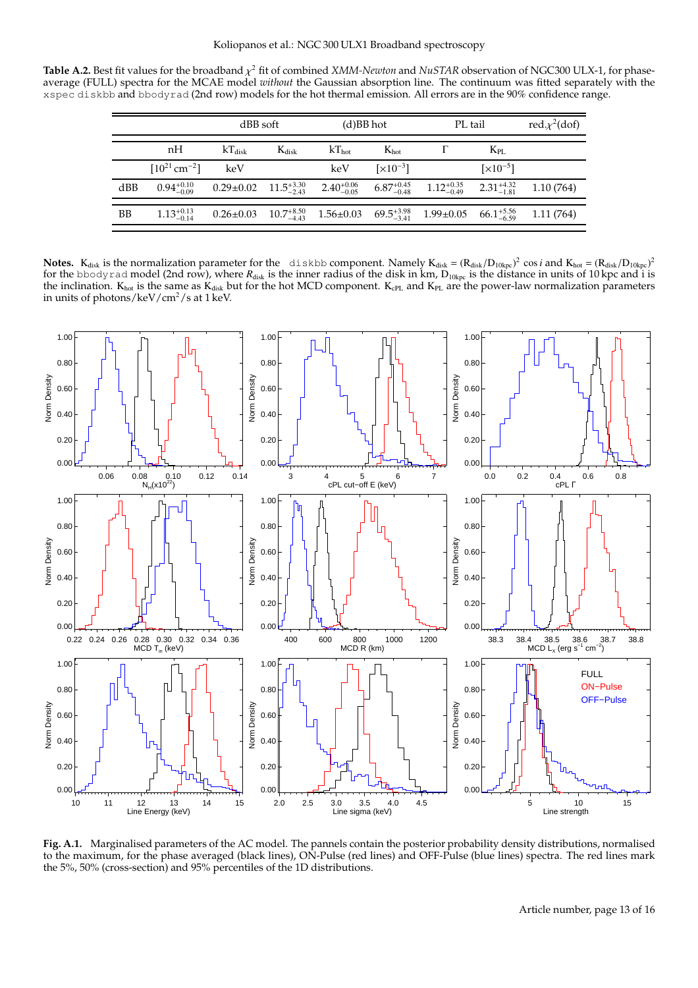**Table A.2.** Best fit values for the broadband  $\chi^2$  fit of combined *XMM-Newton* and *NuSTAR* observation of NGC300 ULX-1, for phaseaverage (FULL) spectra for the MCAE model *without* the Gaussian absorption line. The continuum was fitted separately with the xspec diskbb and bbodyrad (2nd row) models for the hot thermal emission. All errors are in the 90% confidence range.

<span id="page-12-1"></span>

|     |                               | dBB soft                                                                                                                                                |            | $(d)$ BB hot |                               | PL tail                                                                                                                           |                               | red. $\chi^2$ (dof) |
|-----|-------------------------------|---------------------------------------------------------------------------------------------------------------------------------------------------------|------------|--------------|-------------------------------|-----------------------------------------------------------------------------------------------------------------------------------|-------------------------------|---------------------|
|     | nH                            | $kT_{disk}$                                                                                                                                             | $K_{disk}$ | $kT_{hot}$   | $K_{\text{hot}}$              |                                                                                                                                   | $K_{\rm PL}$                  |                     |
|     | $[10^{21}$ cm <sup>-2</sup> ] | keV                                                                                                                                                     |            | keV          | $\left[\times 10^{-3}\right]$ |                                                                                                                                   | $\left[\times 10^{-5}\right]$ |                     |
| dBB |                               | $0.94_{-0.09}^{+0.10}$ $0.29\pm0.02$ $11.5_{-2.43}^{+3.30}$ $2.40_{-0.05}^{+0.06}$ $6.87_{-0.48}^{+0.45}$ $1.12_{-0.49}^{+0.35}$ $2.31_{-1.81}^{+4.32}$ |            |              |                               |                                                                                                                                   |                               | 1.10(764)           |
| BB  | $1.13_{-0.14}^{+0.13}$        |                                                                                                                                                         |            |              |                               | $0.26 \pm 0.03$ $10.7^{+8.50}_{-4.43}$ $1.56 \pm 0.03$ $69.5^{+3.98}_{-3.41}$ $1.99 \pm 0.05$ $66.1^{+5.56}_{-6.59}$ $1.11$ (764) |                               |                     |

Notes. K<sub>disk</sub> is the normalization parameter for the diskbb component. Namely K<sub>disk</sub> =  $(R_{disk}/D_{10kpc})^2$  cos*i* and K<sub>hot</sub> =  $(R_{disk}/D_{10kpc})^2$ for the bbodyrad model (2nd row), where  $R_{disk}$  is the inner radius of the disk in km,  $D_{10kpc}$  is the distance in units of 10 kpc and i is the inclination.  $K_{hot}$  is the same as  $K_{disk}$  but for the hot MCD component.  $K_{cPL}$  and  $K_{PL}$  are the power-law normalization parameters in units of photons/keV/ $\text{cm}^2\text{/s}$  at 1 keV.



<span id="page-12-0"></span>**Fig. A.1.** Marginalised parameters of the AC model. The pannels contain the posterior probability density distributions, normalised to the maximum, for the phase averaged (black lines), ON-Pulse (red lines) and OFF-Pulse (blue lines) spectra. The red lines mark the 5%, 50% (cross-section) and 95% percentiles of the 1D distributions.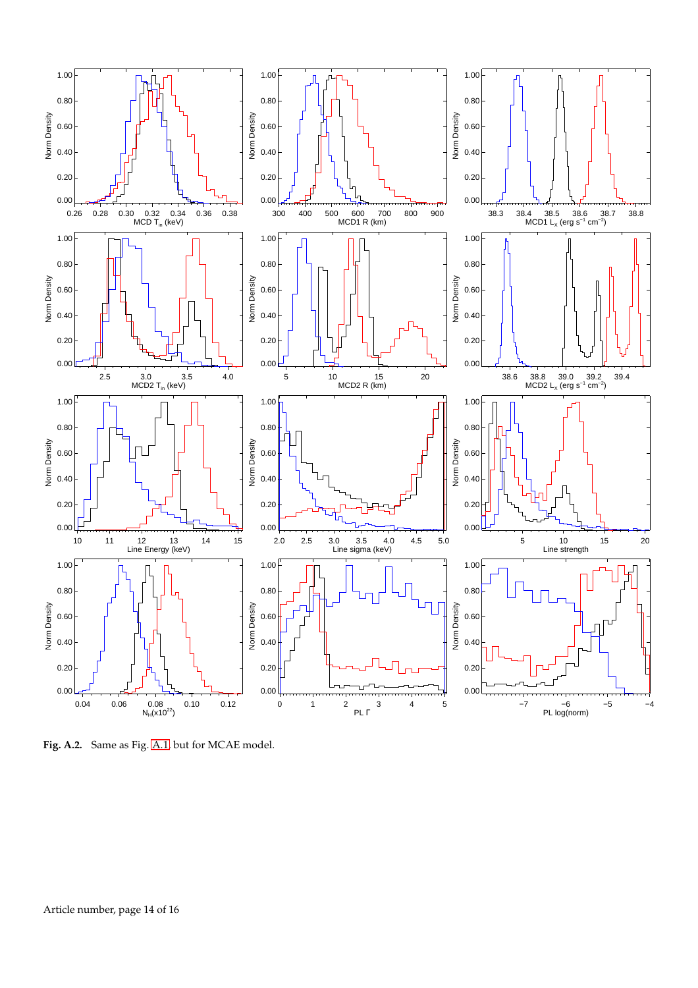

<span id="page-13-0"></span>**Fig. A.2.** Same as Fig. [A.1,](#page-12-0) but for MCAE model.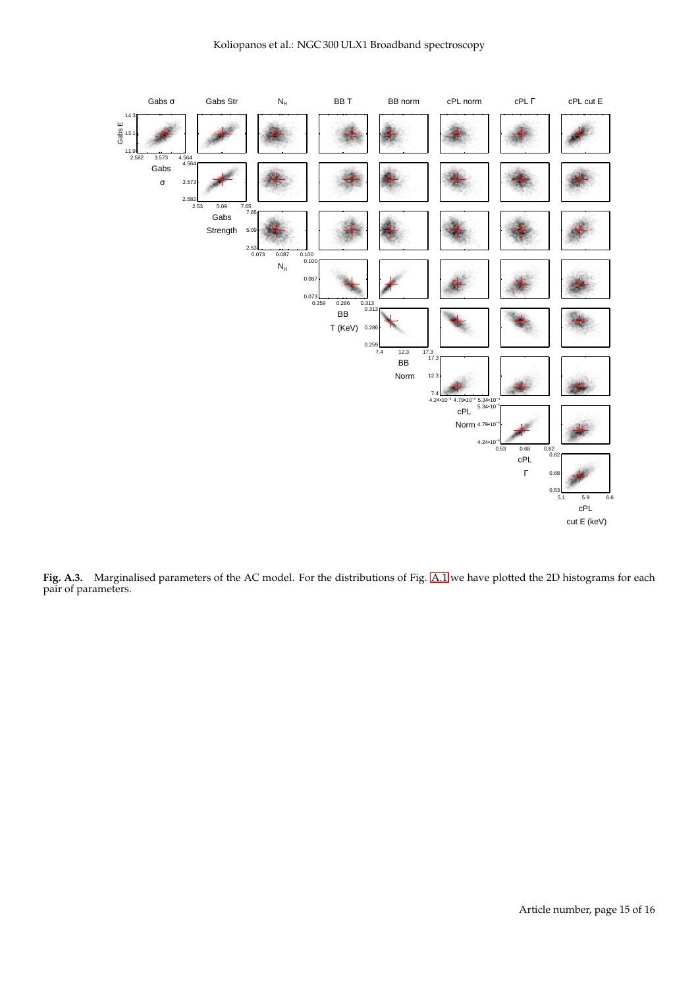

<span id="page-14-0"></span>**Fig. A.3.** Marginalised parameters of the AC model. For the distributions of Fig. [A.1](#page-12-0) we have plotted the 2D histograms for each pair of parameters.